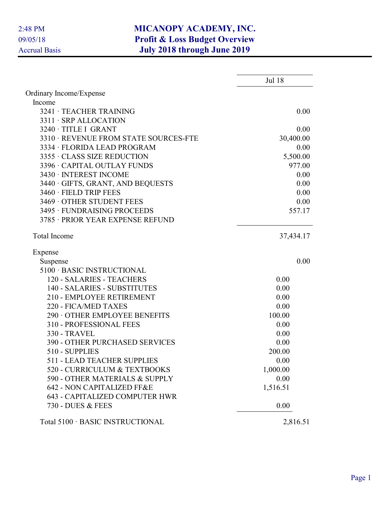|                                       | <b>Jul 18</b> |
|---------------------------------------|---------------|
| Ordinary Income/Expense               |               |
| Income                                |               |
| 3241 · TEACHER TRAINING               | 0.00          |
| 3311 · SRP ALLOCATION                 |               |
| 3240 · TITLE I GRANT                  | 0.00          |
| 3310 · REVENUE FROM STATE SOURCES-FTE | 30,400.00     |
| 3334 · FLORIDA LEAD PROGRAM           | 0.00          |
| 3355 · CLASS SIZE REDUCTION           | 5,500.00      |
| 3396 · CAPITAL OUTLAY FUNDS           | 977.00        |
| 3430 · INTEREST INCOME                | 0.00          |
| 3440 · GIFTS, GRANT, AND BEQUESTS     | 0.00          |
| 3460 · FIELD TRIP FEES                | 0.00          |
| 3469 OTHER STUDENT FEES               | 0.00          |
| 3495 · FUNDRAISING PROCEEDS           | 557.17        |
| 3785 · PRIOR YEAR EXPENSE REFUND      |               |
| <b>Total Income</b>                   | 37,434.17     |
| Expense                               |               |
| Suspense                              | 0.00          |
| 5100 · BASIC INSTRUCTIONAL            |               |
| 120 - SALARIES - TEACHERS             | 0.00          |
| 140 - SALARIES - SUBSTITUTES          | 0.00          |
| 210 - EMPLOYEE RETIREMENT             | 0.00          |
| 220 - FICA/MED TAXES                  | 0.00          |
| 290 OTHER EMPLOYEE BENEFITS           | 100.00        |
| 310 - PROFESSIONAL FEES               | 0.00          |
| <b>330 - TRAVEL</b>                   | 0.00          |
| <b>390 - OTHER PURCHASED SERVICES</b> | 0.00          |
| 510 - SUPPLIES                        | 200.00        |
| <b>511 - LEAD TEACHER SUPPLIES</b>    | 0.00          |
| 520 - CURRICULUM & TEXTBOOKS          | 1,000.00      |
| 590 - OTHER MATERIALS & SUPPLY        | 0.00          |
| 642 - NON CAPITALIZED FF&E            | 1,516.51      |
| <b>643 - CAPITALIZED COMPUTER HWR</b> |               |
| 730 - DUES & FEES                     | 0.00          |
| Total 5100 · BASIC INSTRUCTIONAL      | 2,816.51      |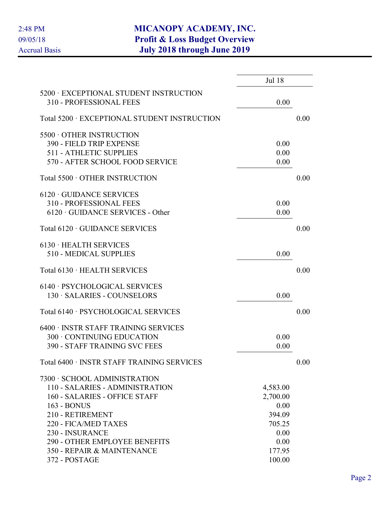|                                                                   | <b>Jul 18</b> |      |
|-------------------------------------------------------------------|---------------|------|
| 5200 · EXCEPTIONAL STUDENT INSTRUCTION<br>310 - PROFESSIONAL FEES | 0.00          |      |
| Total 5200 · EXCEPTIONAL STUDENT INSTRUCTION                      |               | 0.00 |
| 5500 OTHER INSTRUCTION                                            |               |      |
| 390 - FIELD TRIP EXPENSE                                          | 0.00          |      |
| <b>511 - ATHLETIC SUPPLIES</b>                                    | 0.00          |      |
| 570 - AFTER SCHOOL FOOD SERVICE                                   | 0.00          |      |
| Total 5500 · OTHER INSTRUCTION                                    |               | 0.00 |
| $6120 \cdot$ GUIDANCE SERVICES                                    |               |      |
| 310 - PROFESSIONAL FEES                                           | 0.00          |      |
| $6120 \cdot \text{GUIDANCE SERIES}$ - Other                       | 0.00          |      |
| Total 6120 · GUIDANCE SERVICES                                    |               | 0.00 |
| $6130 \cdot \text{HEALTH}$ SERVICES                               |               |      |
| 510 - MEDICAL SUPPLIES                                            | 0.00          |      |
| Total 6130 · HEALTH SERVICES                                      |               | 0.00 |
| 6140 · PSYCHOLOGICAL SERVICES                                     |               |      |
| 130 · SALARIES - COUNSELORS                                       | 0.00          |      |
| Total 6140 · PSYCHOLOGICAL SERVICES                               |               | 0.00 |
| 6400 · INSTR STAFF TRAINING SERVICES                              |               |      |
| 300 · CONTINUING EDUCATION                                        | 0.00          |      |
| <b>390 - STAFF TRAINING SVC FEES</b>                              | 0.00          |      |
| Total 6400 · INSTR STAFF TRAINING SERVICES                        |               | 0.00 |
| 7300 · SCHOOL ADMINISTRATION                                      |               |      |
| 110 - SALARIES - ADMINISTRATION                                   | 4,583.00      |      |
| 160 - SALARIES - OFFICE STAFF                                     | 2,700.00      |      |
| 163 - BONUS                                                       | 0.00          |      |
| 210 - RETIREMENT                                                  | 394.09        |      |
| 220 - FICA/MED TAXES                                              | 705.25        |      |
| 230 - INSURANCE                                                   | 0.00          |      |
| 290 - OTHER EMPLOYEE BENEFITS                                     | 0.00          |      |
| 350 - REPAIR & MAINTENANCE                                        | 177.95        |      |
| 372 - POSTAGE                                                     | 100.00        |      |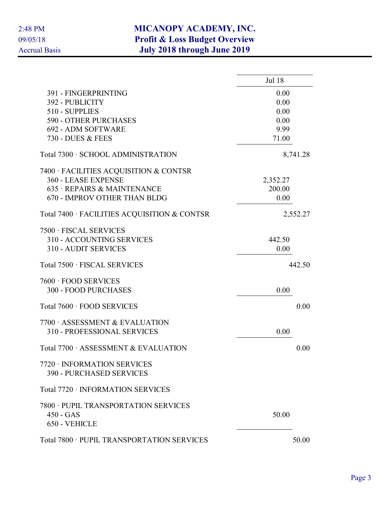|                                                                    | <b>Jul 18</b> |          |
|--------------------------------------------------------------------|---------------|----------|
| 391 - FINGERPRINTING                                               | 0.00          |          |
| 392 - PUBLICITY                                                    | 0.00          |          |
| 510 - SUPPLIES                                                     | 0.00          |          |
| 590 - OTHER PURCHASES                                              | 0.00          |          |
| 692 - ADM SOFTWARE                                                 | 9.99          |          |
| 730 - DUES & FEES                                                  | 71.00         |          |
| Total 7300 · SCHOOL ADMINISTRATION                                 |               | 8,741.28 |
| 7400 · FACILITIES ACQUISITION & CONTSR                             |               |          |
| 360 - LEASE EXPENSE                                                | 2,352.27      |          |
| 635 · REPAIRS & MAINTENANCE                                        | 200.00        |          |
| 670 - IMPROV OTHER THAN BLDG                                       | 0.00          |          |
| Total 7400 · FACILITIES ACQUISITION & CONTSR                       |               | 2,552.27 |
| 7500 · FISCAL SERVICES                                             |               |          |
| 310 - ACCOUNTING SERVICES                                          | 442.50        |          |
| 310 - AUDIT SERVICES                                               | 0.00          |          |
| Total 7500 · FISCAL SERVICES                                       |               | 442.50   |
| 7600 · FOOD SERVICES                                               |               |          |
| 300 - FOOD PURCHASES                                               | 0.00          |          |
| Total 7600 · FOOD SERVICES                                         |               | 0.00     |
|                                                                    |               |          |
| 7700 ASSESSMENT & EVALUATION<br><b>310 - PROFESSIONAL SERVICES</b> |               |          |
|                                                                    | 0.00          |          |
| Total 7700 · ASSESSMENT & EVALUATION                               |               | 0.00     |
| 7720 · INFORMATION SERVICES                                        |               |          |
| <b>390 - PURCHASED SERVICES</b>                                    |               |          |
| Total 7720 · INFORMATION SERVICES                                  |               |          |
| 7800 · PUPIL TRANSPORTATION SERVICES                               |               |          |
| $450 - GAS$                                                        | 50.00         |          |
| 650 - VEHICLE                                                      |               |          |
| Total 7800 · PUPIL TRANSPORTATION SERVICES                         |               | 50.00    |
|                                                                    |               |          |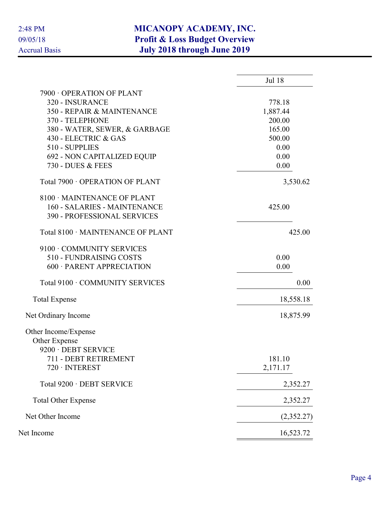|                                    | <b>Jul 18</b> |
|------------------------------------|---------------|
| 7900 OPERATION OF PLANT            |               |
| 320 - INSURANCE                    | 778.18        |
| 350 - REPAIR & MAINTENANCE         | 1,887.44      |
| 370 - TELEPHONE                    | 200.00        |
| 380 - WATER, SEWER, & GARBAGE      | 165.00        |
| 430 - ELECTRIC & GAS               | 500.00        |
| 510 - SUPPLIES                     | 0.00          |
| <b>692 - NON CAPITALIZED EQUIP</b> | 0.00          |
| 730 - DUES & FEES                  | 0.00          |
| Total 7900 · OPERATION OF PLANT    | 3,530.62      |
| 8100 · MAINTENANCE OF PLANT        |               |
| 160 - SALARIES - MAINTENANCE       | 425.00        |
| <b>390 - PROFESSIONAL SERVICES</b> |               |
| Total 8100 · MAINTENANCE OF PLANT  | 425.00        |
| 9100 · COMMUNITY SERVICES          |               |
| 510 - FUNDRAISING COSTS            | 0.00          |
| 600 · PARENT APPRECIATION          | 0.00          |
| Total 9100 · COMMUNITY SERVICES    | 0.00          |
| <b>Total Expense</b>               | 18,558.18     |
| Net Ordinary Income                | 18,875.99     |
| Other Income/Expense               |               |
| Other Expense                      |               |
| 9200 · DEBT SERVICE                |               |
| 711 - DEBT RETIREMENT              | 181.10        |
| 720 · INTEREST                     | 2,171.17      |
| Total 9200 · DEBT SERVICE          | 2,352.27      |
| <b>Total Other Expense</b>         | 2,352.27      |
| Net Other Income                   | (2,352.27)    |
| Net Income                         | 16,523.72     |
|                                    |               |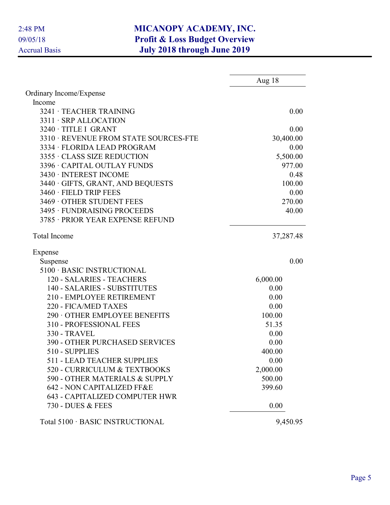|                                       | Aug $18$  |
|---------------------------------------|-----------|
| Ordinary Income/Expense               |           |
| Income                                |           |
| 3241 · TEACHER TRAINING               | 0.00      |
| 3311 · SRP ALLOCATION                 |           |
| 3240 · TITLE I GRANT                  | 0.00      |
| 3310 · REVENUE FROM STATE SOURCES-FTE | 30,400.00 |
| 3334 · FLORIDA LEAD PROGRAM           | 0.00      |
| 3355 · CLASS SIZE REDUCTION           | 5,500.00  |
| 3396 · CAPITAL OUTLAY FUNDS           | 977.00    |
| 3430 · INTEREST INCOME                | 0.48      |
| 3440 · GIFTS, GRANT, AND BEQUESTS     | 100.00    |
| 3460 · FIELD TRIP FEES                | 0.00      |
| 3469 OTHER STUDENT FEES               | 270.00    |
| 3495 · FUNDRAISING PROCEEDS           | 40.00     |
| 3785 · PRIOR YEAR EXPENSE REFUND      |           |
| <b>Total Income</b>                   | 37,287.48 |
| Expense                               |           |
| Suspense                              | 0.00      |
| 5100 · BASIC INSTRUCTIONAL            |           |
| 120 - SALARIES - TEACHERS             | 6,000.00  |
| 140 - SALARIES - SUBSTITUTES          | 0.00      |
| 210 - EMPLOYEE RETIREMENT             | 0.00      |
| 220 - FICA/MED TAXES                  | 0.00      |
| 290 OTHER EMPLOYEE BENEFITS           | 100.00    |
| 310 - PROFESSIONAL FEES               | 51.35     |
| 330 - TRAVEL                          | 0.00      |
| <b>390 - OTHER PURCHASED SERVICES</b> | 0.00      |
| 510 - SUPPLIES                        | 400.00    |
| 511 - LEAD TEACHER SUPPLIES           | 0.00      |
| 520 - CURRICULUM & TEXTBOOKS          | 2,000.00  |
| 590 - OTHER MATERIALS & SUPPLY        | 500.00    |
| 642 - NON CAPITALIZED FF&E            | 399.60    |
| <b>643 - CAPITALIZED COMPUTER HWR</b> |           |
| 730 - DUES & FEES                     | 0.00      |
| Total 5100 · BASIC INSTRUCTIONAL      | 9,450.95  |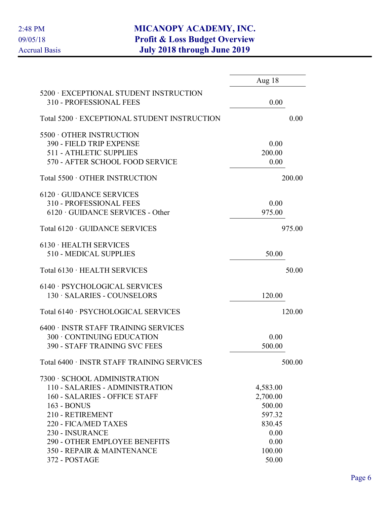|                                                                   | Aug 18   |
|-------------------------------------------------------------------|----------|
| 5200 · EXCEPTIONAL STUDENT INSTRUCTION<br>310 - PROFESSIONAL FEES | 0.00     |
| Total 5200 · EXCEPTIONAL STUDENT INSTRUCTION                      | 0.00     |
| 5500 OTHER INSTRUCTION                                            |          |
| 390 - FIELD TRIP EXPENSE                                          | 0.00     |
| <b>511 - ATHLETIC SUPPLIES</b>                                    | 200.00   |
| 570 - AFTER SCHOOL FOOD SERVICE                                   | 0.00     |
| Total 5500 · OTHER INSTRUCTION                                    | 200.00   |
| $6120 \cdot$ GUIDANCE SERVICES                                    |          |
| 310 - PROFESSIONAL FEES                                           | 0.00     |
| $6120 \cdot \text{GUIDANCE}$ SERVICES - Other                     | 975.00   |
| Total 6120 · GUIDANCE SERVICES                                    | 975.00   |
| 6130 · HEALTH SERVICES                                            |          |
| 510 - MEDICAL SUPPLIES                                            | 50.00    |
| Total 6130 · HEALTH SERVICES                                      | 50.00    |
| 6140 · PSYCHOLOGICAL SERVICES                                     |          |
| 130 · SALARIES - COUNSELORS                                       | 120.00   |
| Total 6140 · PSYCHOLOGICAL SERVICES                               | 120.00   |
| 6400 · INSTR STAFF TRAINING SERVICES                              |          |
| 300 CONTINUING EDUCATION                                          | 0.00     |
| <b>390 - STAFF TRAINING SVC FEES</b>                              | 500.00   |
| Total 6400 · INSTR STAFF TRAINING SERVICES                        | 500.00   |
| 7300 · SCHOOL ADMINISTRATION                                      |          |
| 110 - SALARIES - ADMINISTRATION                                   | 4,583.00 |
| 160 - SALARIES - OFFICE STAFF                                     | 2,700.00 |
| 163 - BONUS                                                       | 500.00   |
| 210 - RETIREMENT                                                  | 597.32   |
| 220 - FICA/MED TAXES                                              | 830.45   |
| 230 - INSURANCE                                                   | 0.00     |
| <b>290 - OTHER EMPLOYEE BENEFITS</b>                              | 0.00     |
| 350 - REPAIR & MAINTENANCE                                        | 100.00   |
| 372 - POSTAGE                                                     | 50.00    |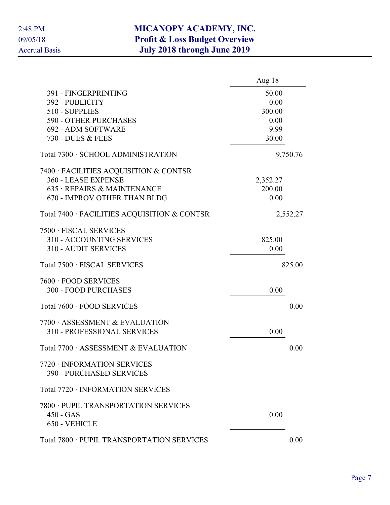|                                              | Aug 18   |
|----------------------------------------------|----------|
| 391 - FINGERPRINTING                         | 50.00    |
| 392 - PUBLICITY                              | 0.00     |
| 510 - SUPPLIES                               | 300.00   |
| <b>590 - OTHER PURCHASES</b>                 | 0.00     |
| 692 - ADM SOFTWARE                           | 9.99     |
| 730 - DUES & FEES                            | 30.00    |
| Total 7300 · SCHOOL ADMINISTRATION           | 9,750.76 |
| 7400 · FACILITIES ACQUISITION & CONTSR       |          |
| 360 - LEASE EXPENSE                          | 2,352.27 |
| 635 · REPAIRS & MAINTENANCE                  | 200.00   |
| 670 - IMPROV OTHER THAN BLDG                 | 0.00     |
| Total 7400 · FACILITIES ACQUISITION & CONTSR | 2,552.27 |
| 7500 · FISCAL SERVICES                       |          |
| 310 - ACCOUNTING SERVICES                    | 825.00   |
| <b>310 - AUDIT SERVICES</b>                  | 0.00     |
| Total 7500 · FISCAL SERVICES                 | 825.00   |
| 7600 · FOOD SERVICES                         |          |
| <b>300 - FOOD PURCHASES</b>                  | 0.00     |
| Total 7600 · FOOD SERVICES                   | 0.00     |
|                                              |          |
| 7700 ASSESSMENT & EVALUATION                 |          |
| 310 - PROFESSIONAL SERVICES                  | 0.00     |
| Total 7700 · ASSESSMENT & EVALUATION         | 0.00     |
| 7720 · INFORMATION SERVICES                  |          |
| <b>390 - PURCHASED SERVICES</b>              |          |
| Total 7720 · INFORMATION SERVICES            |          |
| 7800 · PUPIL TRANSPORTATION SERVICES         |          |
| $450 - GAS$                                  | 0.00     |
| 650 - VEHICLE                                |          |
| Total 7800 · PUPIL TRANSPORTATION SERVICES   | 0.00     |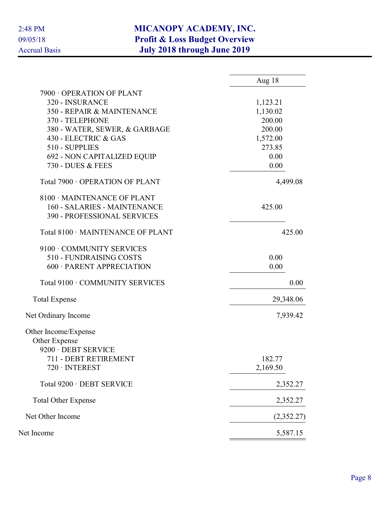|                                   | Aug 18     |
|-----------------------------------|------------|
| 7900 OPERATION OF PLANT           |            |
| 320 - INSURANCE                   | 1,123.21   |
| 350 - REPAIR & MAINTENANCE        | 1,130.02   |
| 370 - TELEPHONE                   | 200.00     |
| 380 - WATER, SEWER, & GARBAGE     | 200.00     |
| 430 - ELECTRIC & GAS              | 1,572.00   |
| 510 - SUPPLIES                    | 273.85     |
| 692 - NON CAPITALIZED EQUIP       | 0.00       |
| 730 - DUES & FEES                 | 0.00       |
| Total 7900 · OPERATION OF PLANT   | 4,499.08   |
| 8100 · MAINTENANCE OF PLANT       |            |
| 160 - SALARIES - MAINTENANCE      | 425.00     |
| 390 - PROFESSIONAL SERVICES       |            |
| Total 8100 · MAINTENANCE OF PLANT | 425.00     |
| 9100 · COMMUNITY SERVICES         |            |
| 510 - FUNDRAISING COSTS           | 0.00       |
| 600 · PARENT APPRECIATION         | 0.00       |
| Total 9100 · COMMUNITY SERVICES   | 0.00       |
| <b>Total Expense</b>              | 29,348.06  |
| Net Ordinary Income               | 7,939.42   |
| Other Income/Expense              |            |
| Other Expense                     |            |
| 9200 · DEBT SERVICE               |            |
| 711 - DEBT RETIREMENT             | 182.77     |
| 720 · INTEREST                    | 2,169.50   |
| Total 9200 · DEBT SERVICE         | 2,352.27   |
| <b>Total Other Expense</b>        | 2,352.27   |
| Net Other Income                  | (2,352.27) |
| Net Income                        | 5,587.15   |
|                                   |            |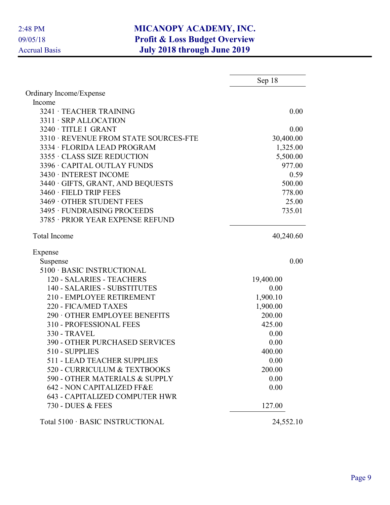|                                                            | Sep 18    |
|------------------------------------------------------------|-----------|
| Ordinary Income/Expense                                    |           |
| Income                                                     |           |
| 3241 · TEACHER TRAINING                                    | 0.00      |
| 3311 · SRP ALLOCATION                                      |           |
| 3240 · TITLE I GRANT                                       | 0.00      |
| 3310 · REVENUE FROM STATE SOURCES-FTE                      | 30,400.00 |
| 3334 · FLORIDA LEAD PROGRAM                                | 1,325.00  |
| 3355 · CLASS SIZE REDUCTION                                | 5,500.00  |
| 3396 · CAPITAL OUTLAY FUNDS                                | 977.00    |
| 3430 · INTEREST INCOME                                     | 0.59      |
| 3440 · GIFTS, GRANT, AND BEQUESTS                          | 500.00    |
| 3460 · FIELD TRIP FEES                                     | 778.00    |
| 3469 OTHER STUDENT FEES                                    | 25.00     |
| 3495 · FUNDRAISING PROCEEDS                                | 735.01    |
| 3785 · PRIOR YEAR EXPENSE REFUND                           |           |
| <b>Total Income</b>                                        | 40,240.60 |
| Expense                                                    |           |
| Suspense                                                   | 0.00      |
| 5100 · BASIC INSTRUCTIONAL                                 |           |
| 120 - SALARIES - TEACHERS                                  | 19,400.00 |
| 140 - SALARIES - SUBSTITUTES                               | 0.00      |
| 210 - EMPLOYEE RETIREMENT                                  | 1,900.10  |
| 220 - FICA/MED TAXES                                       | 1,900.00  |
| 290 OTHER EMPLOYEE BENEFITS                                | 200.00    |
| 310 - PROFESSIONAL FEES                                    | 425.00    |
| 330 - TRAVEL                                               | 0.00      |
| <b>390 - OTHER PURCHASED SERVICES</b>                      | 0.00      |
| 510 - SUPPLIES                                             | 400.00    |
| <b>511 - LEAD TEACHER SUPPLIES</b>                         | 0.00      |
| 520 - CURRICULUM & TEXTBOOKS                               | 200.00    |
| 590 - OTHER MATERIALS & SUPPLY                             | 0.00      |
| 642 - NON CAPITALIZED FF&E                                 | 0.00      |
| <b>643 - CAPITALIZED COMPUTER HWR</b><br>730 - DUES & FEES | 127.00    |
|                                                            |           |
| Total 5100 · BASIC INSTRUCTIONAL                           | 24,552.10 |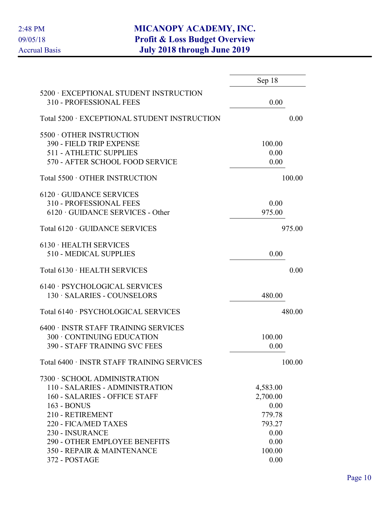|                                                                                                                                                                                                                        | Sep 18                                                           |        |
|------------------------------------------------------------------------------------------------------------------------------------------------------------------------------------------------------------------------|------------------------------------------------------------------|--------|
| 5200 · EXCEPTIONAL STUDENT INSTRUCTION<br>310 - PROFESSIONAL FEES                                                                                                                                                      | 0.00                                                             |        |
| Total 5200 · EXCEPTIONAL STUDENT INSTRUCTION                                                                                                                                                                           |                                                                  | 0.00   |
| 5500 OTHER INSTRUCTION<br>390 - FIELD TRIP EXPENSE<br><b>511 - ATHLETIC SUPPLIES</b><br>570 - AFTER SCHOOL FOOD SERVICE                                                                                                | 100.00<br>0.00<br>0.00                                           |        |
| Total 5500 · OTHER INSTRUCTION                                                                                                                                                                                         |                                                                  | 100.00 |
| $6120 \cdot$ GUIDANCE SERVICES<br>310 - PROFESSIONAL FEES<br>$6120 \cdot \text{GUIDANCE}$ SERVICES - Other                                                                                                             | 0.00<br>975.00                                                   |        |
| Total 6120 · GUIDANCE SERVICES                                                                                                                                                                                         |                                                                  | 975.00 |
| 6130 · HEALTH SERVICES<br>510 - MEDICAL SUPPLIES                                                                                                                                                                       | 0.00                                                             |        |
| Total 6130 · HEALTH SERVICES                                                                                                                                                                                           |                                                                  | 0.00   |
| 6140 · PSYCHOLOGICAL SERVICES<br>130 · SALARIES - COUNSELORS                                                                                                                                                           | 480.00                                                           |        |
| Total 6140 · PSYCHOLOGICAL SERVICES                                                                                                                                                                                    |                                                                  | 480.00 |
| 6400 · INSTR STAFF TRAINING SERVICES<br>300 · CONTINUING EDUCATION<br><b>390 - STAFF TRAINING SVC FEES</b>                                                                                                             | 100.00<br>0.00                                                   |        |
| Total 6400 · INSTR STAFF TRAINING SERVICES                                                                                                                                                                             |                                                                  | 100.00 |
| 7300 · SCHOOL ADMINISTRATION<br>110 - SALARIES - ADMINISTRATION<br>160 - SALARIES - OFFICE STAFF<br>163 - BONUS<br>210 - RETIREMENT<br>220 - FICA/MED TAXES<br>230 - INSURANCE<br><b>290 - OTHER EMPLOYEE BENEFITS</b> | 4,583.00<br>2,700.00<br>0.00<br>779.78<br>793.27<br>0.00<br>0.00 |        |
| 350 - REPAIR & MAINTENANCE<br>372 - POSTAGE                                                                                                                                                                            | 100.00<br>0.00                                                   |        |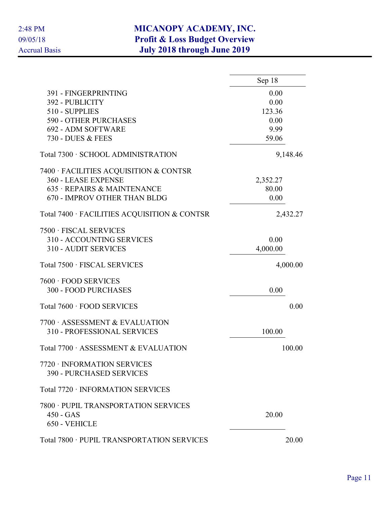|                                                                | Sep 18   |
|----------------------------------------------------------------|----------|
| 391 - FINGERPRINTING                                           | 0.00     |
| 392 - PUBLICITY                                                | 0.00     |
| 510 - SUPPLIES                                                 | 123.36   |
| 590 - OTHER PURCHASES                                          | 0.00     |
| 692 - ADM SOFTWARE                                             | 9.99     |
| 730 - DUES & FEES                                              | 59.06    |
| Total 7300 · SCHOOL ADMINISTRATION                             | 9,148.46 |
| 7400 · FACILITIES ACQUISITION & CONTSR                         |          |
| 360 - LEASE EXPENSE                                            | 2,352.27 |
| 635 · REPAIRS & MAINTENANCE                                    | 80.00    |
| 670 - IMPROV OTHER THAN BLDG                                   | 0.00     |
| Total 7400 · FACILITIES ACQUISITION & CONTSR                   | 2,432.27 |
| 7500 · FISCAL SERVICES                                         |          |
| 310 - ACCOUNTING SERVICES                                      | 0.00     |
| <b>310 - AUDIT SERVICES</b>                                    | 4,000.00 |
| Total 7500 · FISCAL SERVICES                                   | 4,000.00 |
| 7600 · FOOD SERVICES                                           |          |
| <b>300 - FOOD PURCHASES</b>                                    | 0.00     |
| Total 7600 · FOOD SERVICES                                     | 0.00     |
| 7700 ASSESSMENT & EVALUATION                                   |          |
| 310 - PROFESSIONAL SERVICES                                    | 100.00   |
| Total 7700 · ASSESSMENT & EVALUATION                           | 100.00   |
| 7720 · INFORMATION SERVICES<br><b>390 - PURCHASED SERVICES</b> |          |
| Total 7720 · INFORMATION SERVICES                              |          |
| 7800 · PUPIL TRANSPORTATION SERVICES                           |          |
| $450 - GAS$                                                    | 20.00    |
| 650 - VEHICLE                                                  |          |
| Total 7800 · PUPIL TRANSPORTATION SERVICES                     | 20.00    |
|                                                                |          |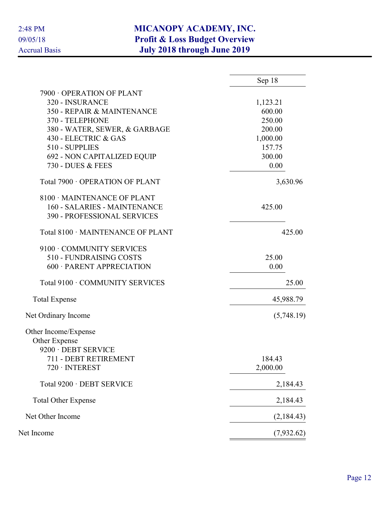|                                    | Sep 18     |
|------------------------------------|------------|
| 7900 OPERATION OF PLANT            |            |
| 320 - INSURANCE                    | 1,123.21   |
| 350 - REPAIR & MAINTENANCE         | 600.00     |
| 370 - TELEPHONE                    | 250.00     |
| 380 - WATER, SEWER, & GARBAGE      | 200.00     |
| 430 - ELECTRIC & GAS               | 1,000.00   |
| 510 - SUPPLIES                     | 157.75     |
| 692 - NON CAPITALIZED EQUIP        | 300.00     |
| 730 - DUES & FEES                  | 0.00       |
| Total 7900 · OPERATION OF PLANT    | 3,630.96   |
| 8100 · MAINTENANCE OF PLANT        |            |
| 160 - SALARIES - MAINTENANCE       | 425.00     |
| <b>390 - PROFESSIONAL SERVICES</b> |            |
| Total 8100 · MAINTENANCE OF PLANT  | 425.00     |
| 9100 · COMMUNITY SERVICES          |            |
| 510 - FUNDRAISING COSTS            | 25.00      |
| 600 · PARENT APPRECIATION          | 0.00       |
| Total 9100 · COMMUNITY SERVICES    | 25.00      |
| <b>Total Expense</b>               | 45,988.79  |
| Net Ordinary Income                | (5,748.19) |
| Other Income/Expense               |            |
| Other Expense                      |            |
| 9200 · DEBT SERVICE                |            |
| 711 - DEBT RETIREMENT              | 184.43     |
| $720 \cdot INTEREST$               | 2,000.00   |
| Total 9200 · DEBT SERVICE          | 2,184.43   |
| <b>Total Other Expense</b>         | 2,184.43   |
| Net Other Income                   | (2,184.43) |
| Net Income                         | (7,932.62) |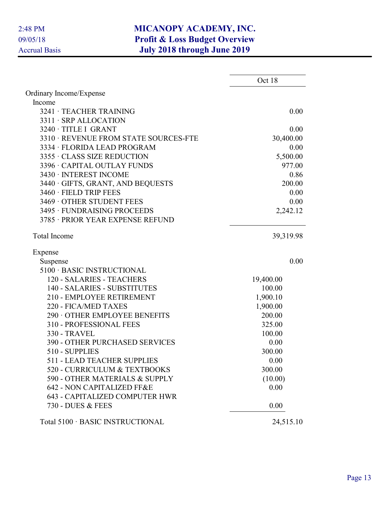|                                       | Oct 18    |
|---------------------------------------|-----------|
| Ordinary Income/Expense               |           |
| Income                                |           |
| 3241 · TEACHER TRAINING               | 0.00      |
| 3311 · SRP ALLOCATION                 |           |
| 3240 · TITLE I GRANT                  | 0.00      |
| 3310 · REVENUE FROM STATE SOURCES-FTE | 30,400.00 |
| 3334 · FLORIDA LEAD PROGRAM           | 0.00      |
| 3355 · CLASS SIZE REDUCTION           | 5,500.00  |
| 3396 · CAPITAL OUTLAY FUNDS           | 977.00    |
| 3430 · INTEREST INCOME                | 0.86      |
| 3440 · GIFTS, GRANT, AND BEQUESTS     | 200.00    |
| 3460 · FIELD TRIP FEES                | 0.00      |
| 3469 OTHER STUDENT FEES               | 0.00      |
| 3495 · FUNDRAISING PROCEEDS           | 2,242.12  |
| 3785 · PRIOR YEAR EXPENSE REFUND      |           |
| <b>Total Income</b>                   | 39,319.98 |
| Expense                               |           |
| Suspense                              | 0.00      |
| 5100 · BASIC INSTRUCTIONAL            |           |
| 120 - SALARIES - TEACHERS             | 19,400.00 |
| 140 - SALARIES - SUBSTITUTES          | 100.00    |
| 210 - EMPLOYEE RETIREMENT             | 1,900.10  |
| 220 - FICA/MED TAXES                  | 1,900.00  |
| 290 OTHER EMPLOYEE BENEFITS           | 200.00    |
| 310 - PROFESSIONAL FEES               | 325.00    |
| <b>330 - TRAVEL</b>                   | 100.00    |
| <b>390 - OTHER PURCHASED SERVICES</b> | 0.00      |
| 510 - SUPPLIES                        | 300.00    |
| 511 - LEAD TEACHER SUPPLIES           | 0.00      |
| 520 - CURRICULUM & TEXTBOOKS          | 300.00    |
| 590 - OTHER MATERIALS & SUPPLY        | (10.00)   |
| 642 - NON CAPITALIZED FF&E            | 0.00      |
| <b>643 - CAPITALIZED COMPUTER HWR</b> |           |
| 730 - DUES & FEES                     | 0.00      |
| Total 5100 · BASIC INSTRUCTIONAL      | 24,515.10 |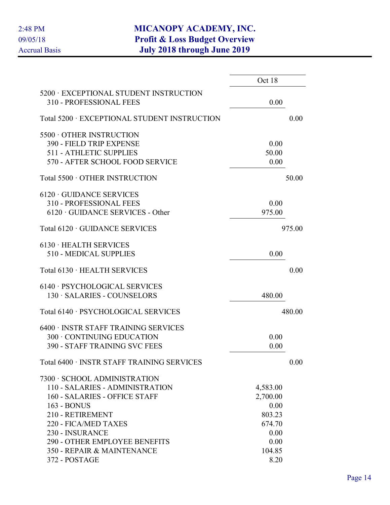|                                                                   | Oct 18   |        |
|-------------------------------------------------------------------|----------|--------|
| 5200 · EXCEPTIONAL STUDENT INSTRUCTION<br>310 - PROFESSIONAL FEES | 0.00     |        |
| Total 5200 · EXCEPTIONAL STUDENT INSTRUCTION                      |          | 0.00   |
| 5500 OTHER INSTRUCTION                                            |          |        |
| 390 - FIELD TRIP EXPENSE                                          | 0.00     |        |
| <b>511 - ATHLETIC SUPPLIES</b>                                    | 50.00    |        |
| 570 - AFTER SCHOOL FOOD SERVICE                                   | 0.00     |        |
| Total 5500 · OTHER INSTRUCTION                                    |          | 50.00  |
| $6120 \cdot$ GUIDANCE SERVICES                                    |          |        |
| 310 - PROFESSIONAL FEES                                           | 0.00     |        |
| $6120 \cdot \text{GUIDANCE}$ SERVICES - Other                     | 975.00   |        |
| Total 6120 · GUIDANCE SERVICES                                    |          | 975.00 |
| 6130 · HEALTH SERVICES                                            |          |        |
| 510 - MEDICAL SUPPLIES                                            | 0.00     |        |
| Total 6130 · HEALTH SERVICES                                      |          | 0.00   |
| 6140 · PSYCHOLOGICAL SERVICES                                     |          |        |
| 130 · SALARIES - COUNSELORS                                       | 480.00   |        |
| Total 6140 · PSYCHOLOGICAL SERVICES                               |          | 480.00 |
| 6400 · INSTR STAFF TRAINING SERVICES                              |          |        |
| 300 · CONTINUING EDUCATION                                        | 0.00     |        |
| <b>390 - STAFF TRAINING SVC FEES</b>                              | 0.00     |        |
| Total 6400 · INSTR STAFF TRAINING SERVICES                        |          | 0.00   |
| 7300 · SCHOOL ADMINISTRATION                                      |          |        |
| 110 - SALARIES - ADMINISTRATION                                   | 4,583.00 |        |
| 160 - SALARIES - OFFICE STAFF                                     | 2,700.00 |        |
| 163 - BONUS                                                       | 0.00     |        |
| 210 - RETIREMENT                                                  | 803.23   |        |
| 220 - FICA/MED TAXES                                              | 674.70   |        |
| 230 - INSURANCE                                                   | 0.00     |        |
| <b>290 - OTHER EMPLOYEE BENEFITS</b>                              | 0.00     |        |
| 350 - REPAIR & MAINTENANCE                                        | 104.85   |        |
| 372 - POSTAGE                                                     | 8.20     |        |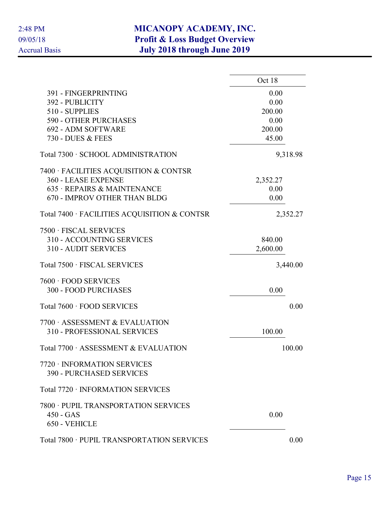|                                                                | Oct 18   |
|----------------------------------------------------------------|----------|
| 391 - FINGERPRINTING                                           | 0.00     |
| 392 - PUBLICITY                                                | 0.00     |
| 510 - SUPPLIES                                                 | 200.00   |
| <b>590 - OTHER PURCHASES</b>                                   | 0.00     |
| 692 - ADM SOFTWARE                                             | 200.00   |
| 730 - DUES & FEES                                              | 45.00    |
| Total 7300 · SCHOOL ADMINISTRATION                             | 9,318.98 |
| 7400 · FACILITIES ACQUISITION & CONTSR                         |          |
| 360 - LEASE EXPENSE                                            | 2,352.27 |
| 635 · REPAIRS & MAINTENANCE                                    | 0.00     |
| 670 - IMPROV OTHER THAN BLDG                                   | 0.00     |
| Total 7400 · FACILITIES ACQUISITION & CONTSR                   | 2,352.27 |
| 7500 · FISCAL SERVICES                                         |          |
| 310 - ACCOUNTING SERVICES                                      | 840.00   |
| <b>310 - AUDIT SERVICES</b>                                    | 2,600.00 |
| Total 7500 · FISCAL SERVICES                                   | 3,440.00 |
| 7600 · FOOD SERVICES                                           |          |
| <b>300 - FOOD PURCHASES</b>                                    | 0.00     |
| Total 7600 · FOOD SERVICES                                     | 0.00     |
| 7700 ASSESSMENT & EVALUATION                                   |          |
| <b>310 - PROFESSIONAL SERVICES</b>                             | 100.00   |
| Total 7700 · ASSESSMENT & EVALUATION                           | 100.00   |
| 7720 · INFORMATION SERVICES<br><b>390 - PURCHASED SERVICES</b> |          |
| Total 7720 · INFORMATION SERVICES                              |          |
|                                                                |          |
| 7800 · PUPIL TRANSPORTATION SERVICES                           |          |
| $450 - GAS$                                                    | 0.00     |
| 650 - VEHICLE                                                  |          |
| Total 7800 · PUPIL TRANSPORTATION SERVICES                     | 0.00     |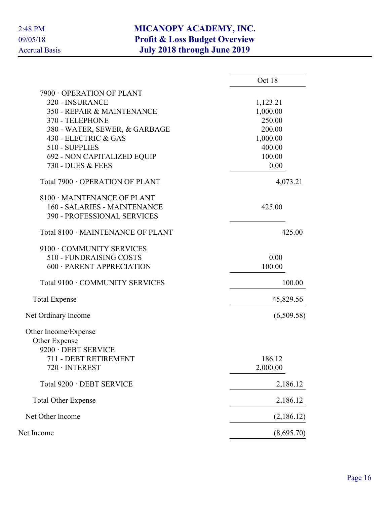|                                   | Oct 18     |
|-----------------------------------|------------|
| 7900 OPERATION OF PLANT           |            |
| 320 - INSURANCE                   | 1,123.21   |
| 350 - REPAIR & MAINTENANCE        | 1,000.00   |
| 370 - TELEPHONE                   | 250.00     |
| 380 - WATER, SEWER, & GARBAGE     | 200.00     |
| 430 - ELECTRIC & GAS              | 1,000.00   |
| 510 - SUPPLIES                    | 400.00     |
| 692 - NON CAPITALIZED EQUIP       | 100.00     |
| 730 - DUES & FEES                 | 0.00       |
| Total 7900 · OPERATION OF PLANT   | 4,073.21   |
| 8100 · MAINTENANCE OF PLANT       |            |
| 160 - SALARIES - MAINTENANCE      | 425.00     |
| 390 - PROFESSIONAL SERVICES       |            |
| Total 8100 · MAINTENANCE OF PLANT | 425.00     |
| 9100 · COMMUNITY SERVICES         |            |
| 510 - FUNDRAISING COSTS           | 0.00       |
| 600 · PARENT APPRECIATION         | 100.00     |
| Total 9100 · COMMUNITY SERVICES   | 100.00     |
| <b>Total Expense</b>              | 45,829.56  |
| Net Ordinary Income               | (6,509.58) |
| Other Income/Expense              |            |
| Other Expense                     |            |
| 9200 · DEBT SERVICE               |            |
| 711 - DEBT RETIREMENT             | 186.12     |
| $720 \cdot INTEREST$              | 2,000.00   |
| Total 9200 · DEBT SERVICE         | 2,186.12   |
| <b>Total Other Expense</b>        | 2,186.12   |
| Net Other Income                  | (2,186.12) |
| Net Income                        | (8,695.70) |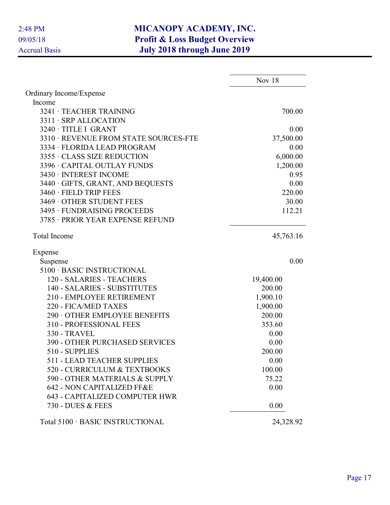|                                       | Nov $18$  |
|---------------------------------------|-----------|
| Ordinary Income/Expense               |           |
| Income                                |           |
| 3241 · TEACHER TRAINING               | 700.00    |
| 3311 · SRP ALLOCATION                 |           |
| 3240 · TITLE I GRANT                  | 0.00      |
| 3310 · REVENUE FROM STATE SOURCES-FTE | 37,500.00 |
| 3334 · FLORIDA LEAD PROGRAM           | 0.00      |
| 3355 · CLASS SIZE REDUCTION           | 6,000.00  |
| 3396 · CAPITAL OUTLAY FUNDS           | 1,200.00  |
| 3430 · INTEREST INCOME                | 0.95      |
| 3440 · GIFTS, GRANT, AND BEQUESTS     | 0.00      |
| 3460 · FIELD TRIP FEES                | 220.00    |
| 3469 OTHER STUDENT FEES               | 30.00     |
| 3495 · FUNDRAISING PROCEEDS           | 112.21    |
| 3785 · PRIOR YEAR EXPENSE REFUND      |           |
| <b>Total Income</b>                   | 45,763.16 |
| Expense                               |           |
| Suspense                              | 0.00      |
| 5100 · BASIC INSTRUCTIONAL            |           |
| 120 - SALARIES - TEACHERS             | 19,400.00 |
| 140 - SALARIES - SUBSTITUTES          | 200.00    |
| 210 - EMPLOYEE RETIREMENT             | 1,900.10  |
| 220 - FICA/MED TAXES                  | 1,900.00  |
| 290 OTHER EMPLOYEE BENEFITS           | 200.00    |
| 310 - PROFESSIONAL FEES               | 353.60    |
| <b>330 - TRAVEL</b>                   | 0.00      |
| <b>390 - OTHER PURCHASED SERVICES</b> | 0.00      |
| 510 - SUPPLIES                        | 200.00    |
| 511 - LEAD TEACHER SUPPLIES           | 0.00      |
| 520 - CURRICULUM & TEXTBOOKS          | 100.00    |
| 590 - OTHER MATERIALS & SUPPLY        | 75.22     |
| 642 - NON CAPITALIZED FF&E            | 0.00      |
| <b>643 - CAPITALIZED COMPUTER HWR</b> |           |
| 730 - DUES & FEES                     | 0.00      |
| Total 5100 · BASIC INSTRUCTIONAL      | 24,328.92 |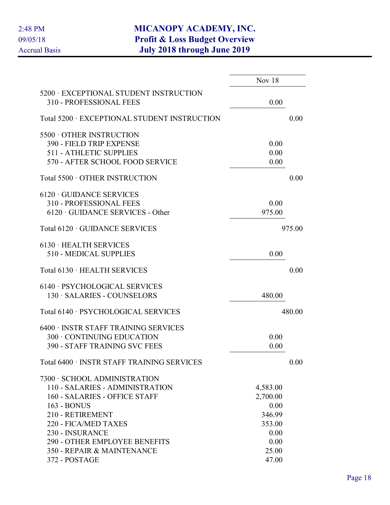|                                                                   | Nov 18   |        |
|-------------------------------------------------------------------|----------|--------|
| 5200 · EXCEPTIONAL STUDENT INSTRUCTION<br>310 - PROFESSIONAL FEES | 0.00     |        |
| Total 5200 · EXCEPTIONAL STUDENT INSTRUCTION                      |          | 0.00   |
| 5500 OTHER INSTRUCTION                                            |          |        |
| 390 - FIELD TRIP EXPENSE                                          | 0.00     |        |
| <b>511 - ATHLETIC SUPPLIES</b>                                    | 0.00     |        |
| 570 - AFTER SCHOOL FOOD SERVICE                                   | 0.00     |        |
| Total 5500 · OTHER INSTRUCTION                                    |          | 0.00   |
| $6120 \cdot$ GUIDANCE SERVICES                                    |          |        |
| 310 - PROFESSIONAL FEES                                           | 0.00     |        |
| $6120 \cdot \text{GUIDANCE}$ SERVICES - Other                     | 975.00   |        |
| Total 6120 · GUIDANCE SERVICES                                    |          | 975.00 |
| 6130 · HEALTH SERVICES                                            |          |        |
| 510 - MEDICAL SUPPLIES                                            | 0.00     |        |
| Total 6130 · HEALTH SERVICES                                      |          | 0.00   |
| 6140 · PSYCHOLOGICAL SERVICES                                     |          |        |
| 130 · SALARIES - COUNSELORS                                       | 480.00   |        |
| Total 6140 · PSYCHOLOGICAL SERVICES                               |          | 480.00 |
| 6400 · INSTR STAFF TRAINING SERVICES                              |          |        |
| 300 · CONTINUING EDUCATION                                        | 0.00     |        |
| <b>390 - STAFF TRAINING SVC FEES</b>                              | 0.00     |        |
| Total 6400 · INSTR STAFF TRAINING SERVICES                        |          | 0.00   |
| 7300 · SCHOOL ADMINISTRATION                                      |          |        |
| 110 - SALARIES - ADMINISTRATION                                   | 4,583.00 |        |
| 160 - SALARIES - OFFICE STAFF                                     | 2,700.00 |        |
| 163 - BONUS                                                       | 0.00     |        |
| 210 - RETIREMENT                                                  | 346.99   |        |
| 220 - FICA/MED TAXES                                              | 353.00   |        |
| 230 - INSURANCE                                                   | 0.00     |        |
| <b>290 - OTHER EMPLOYEE BENEFITS</b>                              | 0.00     |        |
| 350 - REPAIR & MAINTENANCE                                        | 25.00    |        |
| 372 - POSTAGE                                                     | 47.00    |        |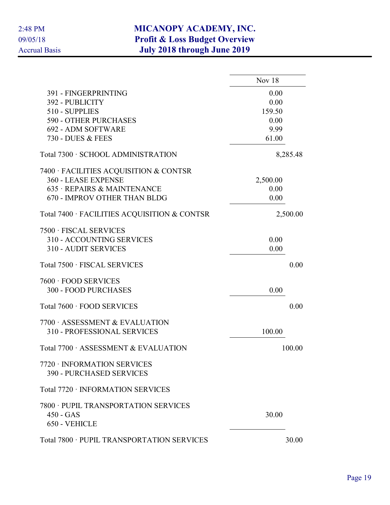|                                                                | Nov $18$     |
|----------------------------------------------------------------|--------------|
| 391 - FINGERPRINTING<br>392 - PUBLICITY                        | 0.00<br>0.00 |
| 510 - SUPPLIES                                                 | 159.50       |
| <b>590 - OTHER PURCHASES</b>                                   | 0.00         |
| 692 - ADM SOFTWARE                                             | 9.99         |
| 730 - DUES & FEES                                              | 61.00        |
| Total 7300 · SCHOOL ADMINISTRATION                             | 8,285.48     |
| 7400 · FACILITIES ACQUISITION & CONTSR                         |              |
| 360 - LEASE EXPENSE                                            | 2,500.00     |
| 635 · REPAIRS & MAINTENANCE                                    | 0.00         |
| 670 - IMPROV OTHER THAN BLDG                                   | 0.00         |
| Total 7400 · FACILITIES ACQUISITION & CONTSR                   | 2,500.00     |
| 7500 · FISCAL SERVICES                                         |              |
| 310 - ACCOUNTING SERVICES                                      | 0.00         |
| <b>310 - AUDIT SERVICES</b>                                    | 0.00         |
| Total 7500 · FISCAL SERVICES                                   | 0.00         |
| 7600 · FOOD SERVICES                                           |              |
| <b>300 - FOOD PURCHASES</b>                                    | 0.00         |
| Total 7600 · FOOD SERVICES                                     | 0.00         |
| 7700 ASSESSMENT & EVALUATION                                   |              |
| <b>310 - PROFESSIONAL SERVICES</b>                             | 100.00       |
| Total 7700 · ASSESSMENT & EVALUATION                           | 100.00       |
| 7720 · INFORMATION SERVICES<br><b>390 - PURCHASED SERVICES</b> |              |
| Total 7720 · INFORMATION SERVICES                              |              |
| 7800 · PUPIL TRANSPORTATION SERVICES                           |              |
| $450 - GAS$                                                    | 30.00        |
| 650 - VEHICLE                                                  |              |
|                                                                |              |
| Total 7800 · PUPIL TRANSPORTATION SERVICES                     | 30.00        |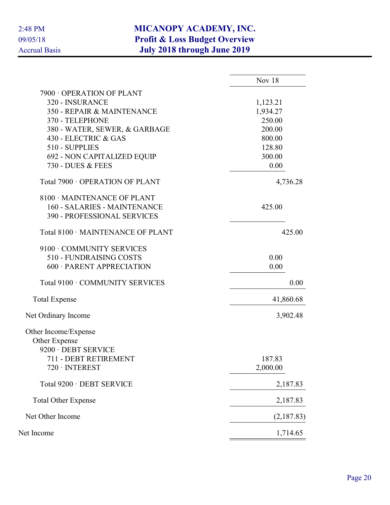|                                    | Nov 18     |
|------------------------------------|------------|
| 7900 OPERATION OF PLANT            |            |
| 320 - INSURANCE                    | 1,123.21   |
| 350 - REPAIR & MAINTENANCE         | 1,934.27   |
| 370 - TELEPHONE                    | 250.00     |
| 380 - WATER, SEWER, & GARBAGE      | 200.00     |
| 430 - ELECTRIC & GAS               | 800.00     |
| 510 - SUPPLIES                     | 128.80     |
| 692 - NON CAPITALIZED EQUIP        | 300.00     |
| 730 - DUES & FEES                  | 0.00       |
| Total 7900 · OPERATION OF PLANT    | 4,736.28   |
| 8100 · MAINTENANCE OF PLANT        |            |
| 160 - SALARIES - MAINTENANCE       | 425.00     |
| <b>390 - PROFESSIONAL SERVICES</b> |            |
| Total 8100 · MAINTENANCE OF PLANT  | 425.00     |
| 9100 · COMMUNITY SERVICES          |            |
| 510 - FUNDRAISING COSTS            | 0.00       |
| 600 · PARENT APPRECIATION          | 0.00       |
| Total 9100 · COMMUNITY SERVICES    | 0.00       |
| <b>Total Expense</b>               | 41,860.68  |
| Net Ordinary Income                | 3,902.48   |
| Other Income/Expense               |            |
| Other Expense                      |            |
| 9200 · DEBT SERVICE                |            |
| 711 - DEBT RETIREMENT              | 187.83     |
| 720 · INTEREST                     | 2,000.00   |
| Total 9200 · DEBT SERVICE          | 2,187.83   |
| <b>Total Other Expense</b>         | 2,187.83   |
| Net Other Income                   | (2,187.83) |
| Net Income                         | 1,714.65   |
|                                    |            |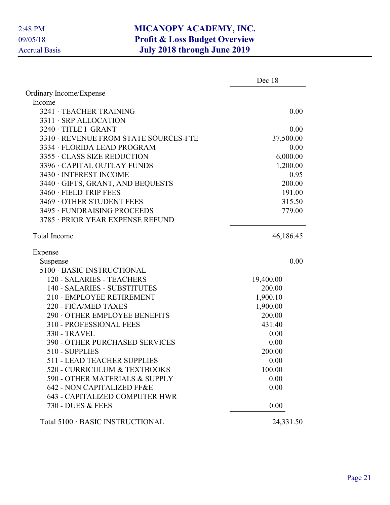|                                                            | Dec 18    |
|------------------------------------------------------------|-----------|
| Ordinary Income/Expense                                    |           |
| Income                                                     |           |
| 3241 · TEACHER TRAINING                                    | 0.00      |
| 3311 · SRP ALLOCATION                                      |           |
| 3240 · TITLE I GRANT                                       | 0.00      |
| 3310 · REVENUE FROM STATE SOURCES-FTE                      | 37,500.00 |
| 3334 · FLORIDA LEAD PROGRAM                                | 0.00      |
| 3355 · CLASS SIZE REDUCTION                                | 6,000.00  |
| 3396 · CAPITAL OUTLAY FUNDS                                | 1,200.00  |
| 3430 · INTEREST INCOME                                     | 0.95      |
| 3440 · GIFTS, GRANT, AND BEQUESTS                          | 200.00    |
| 3460 · FIELD TRIP FEES                                     | 191.00    |
| 3469 OTHER STUDENT FEES                                    | 315.50    |
| 3495 · FUNDRAISING PROCEEDS                                | 779.00    |
| 3785 · PRIOR YEAR EXPENSE REFUND                           |           |
| <b>Total Income</b>                                        | 46,186.45 |
| Expense                                                    |           |
| Suspense                                                   | 0.00      |
| 5100 · BASIC INSTRUCTIONAL                                 |           |
| 120 - SALARIES - TEACHERS                                  | 19,400.00 |
| 140 - SALARIES - SUBSTITUTES                               | 200.00    |
| 210 - EMPLOYEE RETIREMENT                                  | 1,900.10  |
| 220 - FICA/MED TAXES                                       | 1,900.00  |
| 290 OTHER EMPLOYEE BENEFITS                                | 200.00    |
| 310 - PROFESSIONAL FEES                                    | 431.40    |
| 330 - TRAVEL                                               | 0.00      |
| <b>390 - OTHER PURCHASED SERVICES</b>                      | 0.00      |
| 510 - SUPPLIES                                             | 200.00    |
| <b>511 - LEAD TEACHER SUPPLIES</b>                         | 0.00      |
| 520 - CURRICULUM & TEXTBOOKS                               | 100.00    |
| 590 - OTHER MATERIALS & SUPPLY                             | 0.00      |
| 642 - NON CAPITALIZED FF&E                                 | 0.00      |
| <b>643 - CAPITALIZED COMPUTER HWR</b><br>730 - DUES & FEES | 0.00      |
| Total 5100 · BASIC INSTRUCTIONAL                           | 24,331.50 |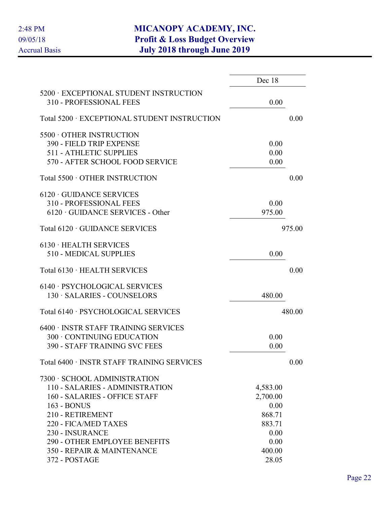|                                                                   | Dec 18   |        |
|-------------------------------------------------------------------|----------|--------|
| 5200 · EXCEPTIONAL STUDENT INSTRUCTION<br>310 - PROFESSIONAL FEES | 0.00     |        |
| Total 5200 · EXCEPTIONAL STUDENT INSTRUCTION                      |          | 0.00   |
| 5500 OTHER INSTRUCTION                                            |          |        |
| 390 - FIELD TRIP EXPENSE                                          | 0.00     |        |
| <b>511 - ATHLETIC SUPPLIES</b>                                    | 0.00     |        |
| 570 - AFTER SCHOOL FOOD SERVICE                                   | 0.00     |        |
| Total 5500 · OTHER INSTRUCTION                                    |          | 0.00   |
| $6120 \cdot$ GUIDANCE SERVICES                                    |          |        |
| 310 - PROFESSIONAL FEES                                           | 0.00     |        |
| $6120 \cdot \text{GUIDANCE}$ SERVICES - Other                     | 975.00   |        |
| Total 6120 · GUIDANCE SERVICES                                    |          | 975.00 |
| 6130 · HEALTH SERVICES                                            |          |        |
| 510 - MEDICAL SUPPLIES                                            | 0.00     |        |
| Total 6130 · HEALTH SERVICES                                      |          | 0.00   |
| 6140 · PSYCHOLOGICAL SERVICES                                     |          |        |
| 130 · SALARIES - COUNSELORS                                       | 480.00   |        |
| Total 6140 · PSYCHOLOGICAL SERVICES                               |          | 480.00 |
| 6400 · INSTR STAFF TRAINING SERVICES                              |          |        |
| 300 · CONTINUING EDUCATION                                        | 0.00     |        |
| <b>390 - STAFF TRAINING SVC FEES</b>                              | 0.00     |        |
| Total 6400 · INSTR STAFF TRAINING SERVICES                        |          | 0.00   |
| 7300 · SCHOOL ADMINISTRATION                                      |          |        |
| 110 - SALARIES - ADMINISTRATION                                   | 4,583.00 |        |
| 160 - SALARIES - OFFICE STAFF                                     | 2,700.00 |        |
| 163 - BONUS                                                       | 0.00     |        |
| 210 - RETIREMENT                                                  | 868.71   |        |
| 220 - FICA/MED TAXES                                              | 883.71   |        |
| 230 - INSURANCE                                                   | 0.00     |        |
| <b>290 - OTHER EMPLOYEE BENEFITS</b>                              | 0.00     |        |
| 350 - REPAIR & MAINTENANCE                                        | 400.00   |        |
| 372 - POSTAGE                                                     | 28.05    |        |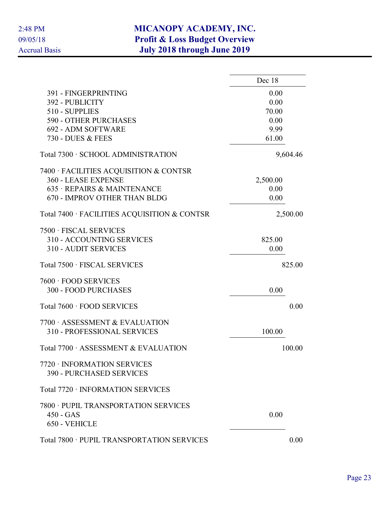|                                                                | Dec 18   |
|----------------------------------------------------------------|----------|
| 391 - FINGERPRINTING                                           | 0.00     |
| 392 - PUBLICITY                                                | 0.00     |
| 510 - SUPPLIES                                                 | 70.00    |
| <b>590 - OTHER PURCHASES</b>                                   | 0.00     |
| 692 - ADM SOFTWARE                                             | 9.99     |
| 730 - DUES & FEES                                              | 61.00    |
| Total 7300 · SCHOOL ADMINISTRATION                             | 9,604.46 |
| 7400 · FACILITIES ACQUISITION & CONTSR                         |          |
| 360 - LEASE EXPENSE                                            | 2,500.00 |
| 635 · REPAIRS & MAINTENANCE                                    | 0.00     |
| 670 - IMPROV OTHER THAN BLDG                                   | 0.00     |
| Total 7400 · FACILITIES ACQUISITION & CONTSR                   | 2,500.00 |
| 7500 · FISCAL SERVICES                                         |          |
| 310 - ACCOUNTING SERVICES                                      | 825.00   |
| <b>310 - AUDIT SERVICES</b>                                    | 0.00     |
| Total 7500 · FISCAL SERVICES                                   | 825.00   |
| 7600 · FOOD SERVICES                                           |          |
| <b>300 - FOOD PURCHASES</b>                                    | 0.00     |
| Total 7600 · FOOD SERVICES                                     | 0.00     |
| 7700 ASSESSMENT & EVALUATION                                   |          |
| <b>310 - PROFESSIONAL SERVICES</b>                             | 100.00   |
| Total 7700 · ASSESSMENT & EVALUATION                           | 100.00   |
| 7720 · INFORMATION SERVICES<br><b>390 - PURCHASED SERVICES</b> |          |
| Total 7720 · INFORMATION SERVICES                              |          |
| 7800 · PUPIL TRANSPORTATION SERVICES                           |          |
| $450 - GAS$                                                    | 0.00     |
| 650 - VEHICLE                                                  |          |
| Total 7800 · PUPIL TRANSPORTATION SERVICES                     | 0.00     |
|                                                                |          |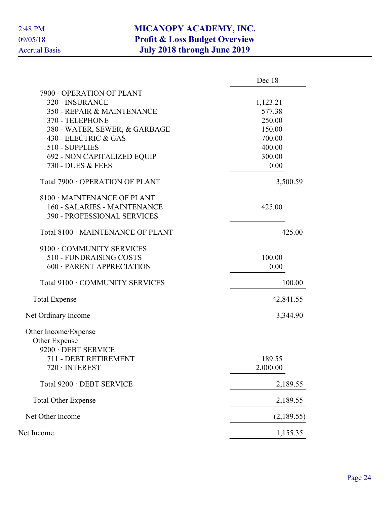|                                     | Dec 18     |
|-------------------------------------|------------|
| 7900 OPERATION OF PLANT             |            |
| 320 - INSURANCE                     | 1,123.21   |
| 350 - REPAIR & MAINTENANCE          | 577.38     |
| 370 - TELEPHONE                     | 250.00     |
| 380 - WATER, SEWER, & GARBAGE       | 150.00     |
| 430 - ELECTRIC & GAS                | 700.00     |
| 510 - SUPPLIES                      | 400.00     |
| 692 - NON CAPITALIZED EQUIP         | 300.00     |
| 730 - DUES & FEES                   | 0.00       |
| Total 7900 · OPERATION OF PLANT     | 3,500.59   |
| 8100 MAINTENANCE OF PLANT           |            |
| <b>160 - SALARIES - MAINTENANCE</b> | 425.00     |
| 390 - PROFESSIONAL SERVICES         |            |
| Total 8100 · MAINTENANCE OF PLANT   | 425.00     |
| 9100 · COMMUNITY SERVICES           |            |
| 510 - FUNDRAISING COSTS             | 100.00     |
| 600 · PARENT APPRECIATION           | 0.00       |
| Total 9100 · COMMUNITY SERVICES     | 100.00     |
| <b>Total Expense</b>                | 42,841.55  |
| Net Ordinary Income                 | 3,344.90   |
| Other Income/Expense                |            |
| Other Expense                       |            |
| 9200 · DEBT SERVICE                 |            |
| 711 - DEBT RETIREMENT               | 189.55     |
| $720 \cdot INTEREST$                | 2,000.00   |
| Total 9200 · DEBT SERVICE           | 2,189.55   |
| <b>Total Other Expense</b>          | 2,189.55   |
| Net Other Income                    | (2,189.55) |
| Net Income                          | 1,155.35   |
|                                     |            |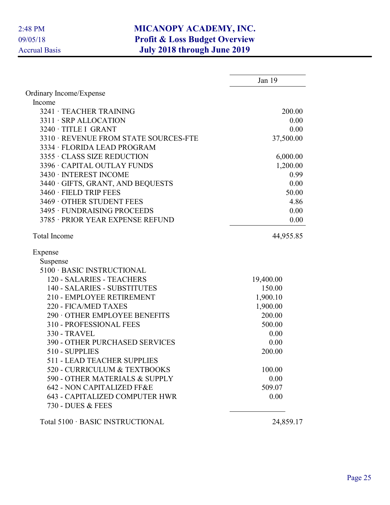|                                       | Jan 19    |
|---------------------------------------|-----------|
| Ordinary Income/Expense               |           |
| Income                                |           |
| 3241 · TEACHER TRAINING               | 200.00    |
| 3311 · SRP ALLOCATION                 | 0.00      |
| 3240 · TITLE I GRANT                  | 0.00      |
| 3310 · REVENUE FROM STATE SOURCES-FTE | 37,500.00 |
| 3334 · FLORIDA LEAD PROGRAM           |           |
| 3355 · CLASS SIZE REDUCTION           | 6,000.00  |
| 3396 · CAPITAL OUTLAY FUNDS           | 1,200.00  |
| 3430 · INTEREST INCOME                | 0.99      |
| 3440 · GIFTS, GRANT, AND BEQUESTS     | 0.00      |
| 3460 · FIELD TRIP FEES                | 50.00     |
| 3469 OTHER STUDENT FEES               | 4.86      |
| 3495 · FUNDRAISING PROCEEDS           | 0.00      |
| 3785 · PRIOR YEAR EXPENSE REFUND      | 0.00      |
| <b>Total Income</b>                   | 44,955.85 |
| Expense                               |           |
| Suspense                              |           |
| 5100 · BASIC INSTRUCTIONAL            |           |
| 120 - SALARIES - TEACHERS             | 19,400.00 |
| 140 - SALARIES - SUBSTITUTES          | 150.00    |
| 210 - EMPLOYEE RETIREMENT             | 1,900.10  |
| 220 - FICA/MED TAXES                  | 1,900.00  |
| 290 OTHER EMPLOYEE BENEFITS           | 200.00    |
| 310 - PROFESSIONAL FEES               | 500.00    |
| <b>330 - TRAVEL</b>                   | 0.00      |
| <b>390 - OTHER PURCHASED SERVICES</b> | 0.00      |
| 510 - SUPPLIES                        | 200.00    |
| <b>511 - LEAD TEACHER SUPPLIES</b>    |           |
| 520 - CURRICULUM & TEXTBOOKS          | 100.00    |
| 590 - OTHER MATERIALS & SUPPLY        | 0.00      |
| 642 - NON CAPITALIZED FF&E            | 509.07    |
| <b>643 - CAPITALIZED COMPUTER HWR</b> | 0.00      |
| 730 - DUES & FEES                     |           |
| Total 5100 · BASIC INSTRUCTIONAL      | 24,859.17 |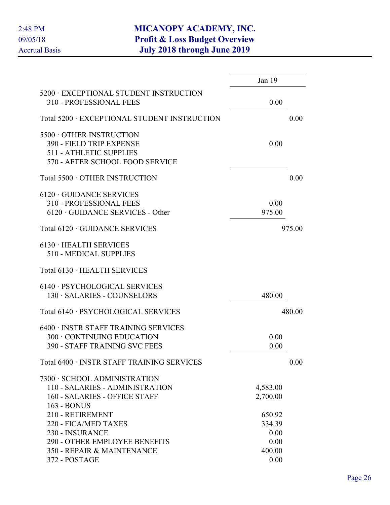|                                                                                                                                   | Jan 19                                     |        |
|-----------------------------------------------------------------------------------------------------------------------------------|--------------------------------------------|--------|
| 5200 · EXCEPTIONAL STUDENT INSTRUCTION<br>310 - PROFESSIONAL FEES                                                                 | 0.00                                       |        |
| Total 5200 · EXCEPTIONAL STUDENT INSTRUCTION                                                                                      |                                            | 0.00   |
| 5500 OTHER INSTRUCTION<br>390 - FIELD TRIP EXPENSE<br><b>511 - ATHLETIC SUPPLIES</b><br>570 - AFTER SCHOOL FOOD SERVICE           | 0.00                                       |        |
| Total 5500 · OTHER INSTRUCTION                                                                                                    |                                            | 0.00   |
| $6120 \cdot$ GUIDANCE SERVICES<br>310 - PROFESSIONAL FEES<br>$6120 \cdot \text{GUIDANCE SERIES}$ - Other                          | 0.00<br>975.00                             |        |
| Total 6120 · GUIDANCE SERVICES                                                                                                    |                                            | 975.00 |
| $6130 \cdot \text{HEALTH}$ SERVICES<br>510 - MEDICAL SUPPLIES                                                                     |                                            |        |
| Total 6130 · HEALTH SERVICES                                                                                                      |                                            |        |
| 6140 · PSYCHOLOGICAL SERVICES<br>130 · SALARIES - COUNSELORS                                                                      | 480.00                                     |        |
| Total 6140 · PSYCHOLOGICAL SERVICES                                                                                               |                                            | 480.00 |
| 6400 · INSTR STAFF TRAINING SERVICES<br>300 · CONTINUING EDUCATION<br><b>390 - STAFF TRAINING SVC FEES</b>                        | 0.00<br>0.00                               |        |
| Total 6400 · INSTR STAFF TRAINING SERVICES                                                                                        |                                            | 0.00   |
| 7300 · SCHOOL ADMINISTRATION<br>110 - SALARIES - ADMINISTRATION<br>160 - SALARIES - OFFICE STAFF<br>163 - BONUS                   | 4,583.00<br>2,700.00                       |        |
| 210 - RETIREMENT<br>220 - FICA/MED TAXES<br>230 - INSURANCE<br><b>290 - OTHER EMPLOYEE BENEFITS</b><br>350 - REPAIR & MAINTENANCE | 650.92<br>334.39<br>0.00<br>0.00<br>400.00 |        |
| 372 - POSTAGE                                                                                                                     | 0.00                                       |        |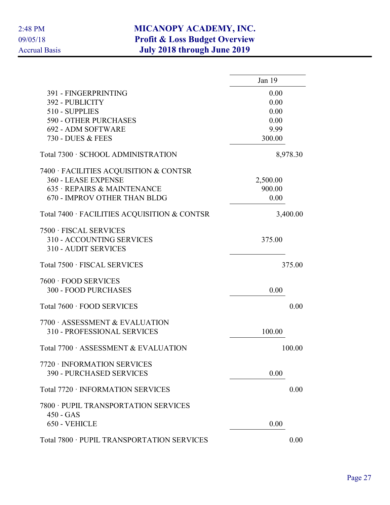|                                                                                    | Jan $19$ |
|------------------------------------------------------------------------------------|----------|
| 391 - FINGERPRINTING                                                               | 0.00     |
| 392 - PUBLICITY                                                                    | 0.00     |
| 510 - SUPPLIES                                                                     | 0.00     |
| <b>590 - OTHER PURCHASES</b>                                                       | 0.00     |
| 692 - ADM SOFTWARE                                                                 | 9.99     |
| 730 - DUES & FEES                                                                  | 300.00   |
| Total 7300 · SCHOOL ADMINISTRATION                                                 | 8,978.30 |
| 7400 · FACILITIES ACQUISITION & CONTSR                                             |          |
| 360 - LEASE EXPENSE                                                                | 2,500.00 |
| 635 · REPAIRS & MAINTENANCE                                                        | 900.00   |
| 670 - IMPROV OTHER THAN BLDG                                                       | 0.00     |
| Total 7400 · FACILITIES ACQUISITION & CONTSR                                       | 3,400.00 |
| 7500 · FISCAL SERVICES<br>310 - ACCOUNTING SERVICES<br><b>310 - AUDIT SERVICES</b> | 375.00   |
| Total 7500 · FISCAL SERVICES                                                       | 375.00   |
| 7600 · FOOD SERVICES                                                               |          |
| <b>300 - FOOD PURCHASES</b>                                                        | 0.00     |
| Total 7600 · FOOD SERVICES                                                         | 0.00     |
| 7700 ASSESSMENT & EVALUATION                                                       |          |
| <b>310 - PROFESSIONAL SERVICES</b>                                                 | 100.00   |
| Total 7700 · ASSESSMENT & EVALUATION                                               | 100.00   |
| 7720 · INFORMATION SERVICES                                                        |          |
| <b>390 - PURCHASED SERVICES</b>                                                    | 0.00     |
| Total 7720 · INFORMATION SERVICES                                                  | 0.00     |
| 7800 · PUPIL TRANSPORTATION SERVICES                                               |          |
| $450 - GAS$<br>650 - VEHICLE                                                       | 0.00     |
|                                                                                    |          |
| Total 7800 · PUPIL TRANSPORTATION SERVICES                                         | 0.00     |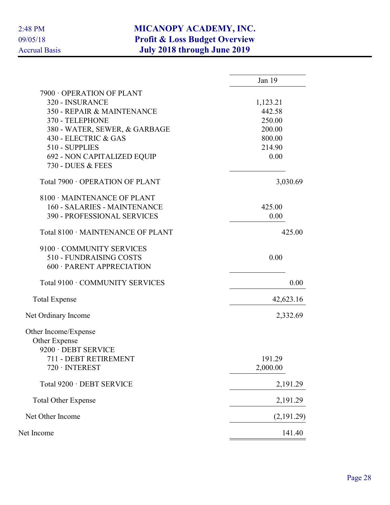|                                    | Jan 19     |
|------------------------------------|------------|
| 7900 OPERATION OF PLANT            |            |
| 320 - INSURANCE                    | 1,123.21   |
| 350 - REPAIR & MAINTENANCE         | 442.58     |
| 370 - TELEPHONE                    | 250.00     |
| 380 - WATER, SEWER, & GARBAGE      | 200.00     |
| 430 - ELECTRIC & GAS               | 800.00     |
| 510 - SUPPLIES                     | 214.90     |
| 692 - NON CAPITALIZED EQUIP        | 0.00       |
| 730 - DUES & FEES                  |            |
| Total 7900 · OPERATION OF PLANT    | 3,030.69   |
| 8100 · MAINTENANCE OF PLANT        |            |
| 160 - SALARIES - MAINTENANCE       | 425.00     |
| <b>390 - PROFESSIONAL SERVICES</b> | 0.00       |
| Total 8100 · MAINTENANCE OF PLANT  | 425.00     |
| 9100 · COMMUNITY SERVICES          |            |
| 510 - FUNDRAISING COSTS            | 0.00       |
| 600 · PARENT APPRECIATION          |            |
| Total 9100 · COMMUNITY SERVICES    | 0.00       |
| <b>Total Expense</b>               | 42,623.16  |
| Net Ordinary Income                | 2,332.69   |
| Other Income/Expense               |            |
| Other Expense                      |            |
| 9200 · DEBT SERVICE                |            |
| 711 - DEBT RETIREMENT              | 191.29     |
| $720 \cdot INTEREST$               | 2,000.00   |
| Total 9200 · DEBT SERVICE          | 2,191.29   |
| <b>Total Other Expense</b>         | 2,191.29   |
| Net Other Income                   | (2,191.29) |
| Net Income                         | 141.40     |
|                                    |            |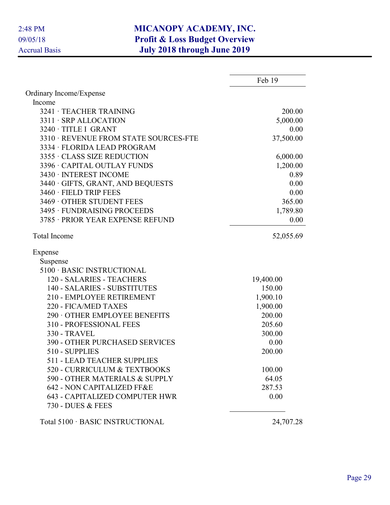|                                                            | Feb 19    |
|------------------------------------------------------------|-----------|
| Ordinary Income/Expense                                    |           |
| Income                                                     |           |
| 3241 · TEACHER TRAINING                                    | 200.00    |
| 3311 · SRP ALLOCATION                                      | 5,000.00  |
| 3240 · TITLE I GRANT                                       | 0.00      |
| 3310 · REVENUE FROM STATE SOURCES-FTE                      | 37,500.00 |
| 3334 · FLORIDA LEAD PROGRAM                                |           |
| 3355 · CLASS SIZE REDUCTION                                | 6,000.00  |
| 3396 · CAPITAL OUTLAY FUNDS                                | 1,200.00  |
| 3430 · INTEREST INCOME                                     | 0.89      |
| 3440 · GIFTS, GRANT, AND BEQUESTS                          | 0.00      |
| 3460 · FIELD TRIP FEES                                     | 0.00      |
| 3469 OTHER STUDENT FEES                                    | 365.00    |
| 3495 · FUNDRAISING PROCEEDS                                | 1,789.80  |
| 3785 · PRIOR YEAR EXPENSE REFUND                           | 0.00      |
| <b>Total Income</b>                                        | 52,055.69 |
| Expense                                                    |           |
| Suspense                                                   |           |
| 5100 · BASIC INSTRUCTIONAL                                 |           |
| 120 - SALARIES - TEACHERS                                  | 19,400.00 |
| 140 - SALARIES - SUBSTITUTES                               | 150.00    |
| 210 - EMPLOYEE RETIREMENT                                  | 1,900.10  |
| 220 - FICA/MED TAXES                                       | 1,900.00  |
| 290 OTHER EMPLOYEE BENEFITS                                | 200.00    |
| 310 - PROFESSIONAL FEES                                    | 205.60    |
| <b>330 - TRAVEL</b>                                        | 300.00    |
| <b>390 - OTHER PURCHASED SERVICES</b>                      | 0.00      |
| 510 - SUPPLIES                                             | 200.00    |
| <b>511 - LEAD TEACHER SUPPLIES</b>                         |           |
| 520 - CURRICULUM & TEXTBOOKS                               | 100.00    |
| 590 - OTHER MATERIALS & SUPPLY                             | 64.05     |
| 642 - NON CAPITALIZED FF&E                                 | 287.53    |
| <b>643 - CAPITALIZED COMPUTER HWR</b><br>730 - DUES & FEES | 0.00      |
| Total 5100 · BASIC INSTRUCTIONAL                           | 24,707.28 |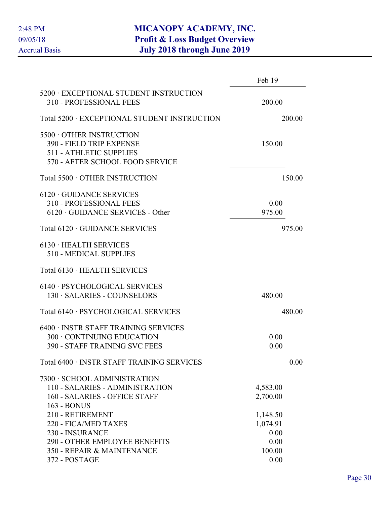|                                                                                                                                           | Feb 19                                         |
|-------------------------------------------------------------------------------------------------------------------------------------------|------------------------------------------------|
| 5200 · EXCEPTIONAL STUDENT INSTRUCTION<br>310 - PROFESSIONAL FEES                                                                         | 200.00                                         |
| Total 5200 · EXCEPTIONAL STUDENT INSTRUCTION                                                                                              | 200.00                                         |
| 5500 OTHER INSTRUCTION<br>390 - FIELD TRIP EXPENSE<br><b>511 - ATHLETIC SUPPLIES</b><br>570 - AFTER SCHOOL FOOD SERVICE                   | 150.00                                         |
| Total 5500 · OTHER INSTRUCTION                                                                                                            | 150.00                                         |
| $6120 \cdot$ GUIDANCE SERVICES<br><b>310 - PROFESSIONAL FEES</b><br>$6120 \cdot$ GUIDANCE SERVICES - Other                                | 0.00<br>975.00                                 |
| Total 6120 · GUIDANCE SERVICES                                                                                                            | 975.00                                         |
| $6130 \cdot \text{HEALTH}$ SERVICES<br>510 - MEDICAL SUPPLIES                                                                             |                                                |
| Total 6130 · HEALTH SERVICES                                                                                                              |                                                |
| 6140 · PSYCHOLOGICAL SERVICES<br>130 · SALARIES - COUNSELORS                                                                              | 480.00                                         |
| Total 6140 · PSYCHOLOGICAL SERVICES                                                                                                       | 480.00                                         |
| 6400 · INSTR STAFF TRAINING SERVICES<br>300 · CONTINUING EDUCATION<br><b>390 - STAFF TRAINING SVC FEES</b>                                | 0.00<br>0.00                                   |
| Total 6400 · INSTR STAFF TRAINING SERVICES                                                                                                | 0.00                                           |
| 7300 · SCHOOL ADMINISTRATION<br>110 - SALARIES - ADMINISTRATION<br>160 - SALARIES - OFFICE STAFF                                          | 4,583.00<br>2,700.00                           |
| 163 - BONUS<br>210 - RETIREMENT<br>220 - FICA/MED TAXES<br>230 - INSURANCE<br>290 - OTHER EMPLOYEE BENEFITS<br>350 - REPAIR & MAINTENANCE | 1,148.50<br>1,074.91<br>0.00<br>0.00<br>100.00 |
| 372 - POSTAGE                                                                                                                             | 0.00                                           |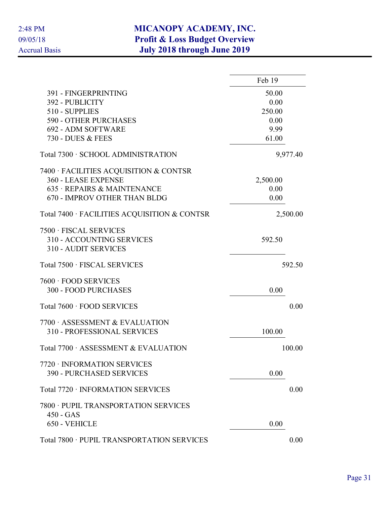|                                                                                    | Feb 19   |
|------------------------------------------------------------------------------------|----------|
| 391 - FINGERPRINTING                                                               | 50.00    |
| 392 - PUBLICITY                                                                    | 0.00     |
| 510 - SUPPLIES                                                                     | 250.00   |
| <b>590 - OTHER PURCHASES</b>                                                       | 0.00     |
| 692 - ADM SOFTWARE                                                                 | 9.99     |
| 730 - DUES & FEES                                                                  | 61.00    |
| Total 7300 · SCHOOL ADMINISTRATION                                                 | 9,977.40 |
| 7400 · FACILITIES ACQUISITION & CONTSR                                             |          |
| 360 - LEASE EXPENSE                                                                | 2,500.00 |
| 635 · REPAIRS & MAINTENANCE                                                        | 0.00     |
| 670 - IMPROV OTHER THAN BLDG                                                       | 0.00     |
| Total 7400 · FACILITIES ACQUISITION & CONTSR                                       | 2,500.00 |
| 7500 · FISCAL SERVICES<br>310 - ACCOUNTING SERVICES<br><b>310 - AUDIT SERVICES</b> | 592.50   |
| Total 7500 · FISCAL SERVICES                                                       | 592.50   |
| 7600 · FOOD SERVICES                                                               |          |
| <b>300 - FOOD PURCHASES</b>                                                        | 0.00     |
| Total 7600 · FOOD SERVICES                                                         | 0.00     |
| 7700 ASSESSMENT & EVALUATION                                                       |          |
| <b>310 - PROFESSIONAL SERVICES</b>                                                 | 100.00   |
| Total 7700 · ASSESSMENT & EVALUATION                                               | 100.00   |
| 7720 · INFORMATION SERVICES                                                        |          |
| <b>390 - PURCHASED SERVICES</b>                                                    | 0.00     |
| Total 7720 · INFORMATION SERVICES                                                  | 0.00     |
| 7800 · PUPIL TRANSPORTATION SERVICES                                               |          |
| $450 - GAS$                                                                        |          |
| 650 - VEHICLE                                                                      | 0.00     |
| Total 7800 · PUPIL TRANSPORTATION SERVICES                                         | 0.00     |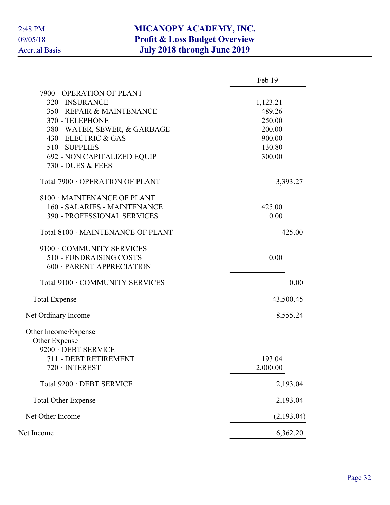|                                    | Feb 19     |
|------------------------------------|------------|
| 7900 OPERATION OF PLANT            |            |
| 320 - INSURANCE                    | 1,123.21   |
| 350 - REPAIR & MAINTENANCE         | 489.26     |
| 370 - TELEPHONE                    | 250.00     |
| 380 - WATER, SEWER, & GARBAGE      | 200.00     |
| 430 - ELECTRIC & GAS               | 900.00     |
| 510 - SUPPLIES                     | 130.80     |
| 692 - NON CAPITALIZED EQUIP        | 300.00     |
| 730 - DUES & FEES                  |            |
| Total 7900 · OPERATION OF PLANT    | 3,393.27   |
| 8100 · MAINTENANCE OF PLANT        |            |
| 160 - SALARIES - MAINTENANCE       | 425.00     |
| <b>390 - PROFESSIONAL SERVICES</b> | 0.00       |
| Total 8100 · MAINTENANCE OF PLANT  | 425.00     |
| 9100 · COMMUNITY SERVICES          |            |
| 510 - FUNDRAISING COSTS            | 0.00       |
| 600 · PARENT APPRECIATION          |            |
| Total 9100 · COMMUNITY SERVICES    | 0.00       |
| <b>Total Expense</b>               | 43,500.45  |
| Net Ordinary Income                | 8,555.24   |
| Other Income/Expense               |            |
| Other Expense                      |            |
| 9200 · DEBT SERVICE                |            |
| 711 - DEBT RETIREMENT              | 193.04     |
| $720 \cdot INTEREST$               | 2,000.00   |
| Total 9200 · DEBT SERVICE          | 2,193.04   |
| <b>Total Other Expense</b>         | 2,193.04   |
| Net Other Income                   | (2,193.04) |
| Net Income                         | 6,362.20   |
|                                    |            |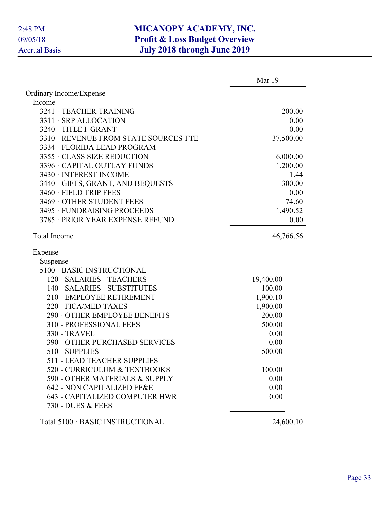|                                                            | Mar 19    |
|------------------------------------------------------------|-----------|
| Ordinary Income/Expense                                    |           |
| Income                                                     |           |
| 3241 · TEACHER TRAINING                                    | 200.00    |
| 3311 · SRP ALLOCATION                                      | 0.00      |
| 3240 · TITLE I GRANT                                       | 0.00      |
| 3310 · REVENUE FROM STATE SOURCES-FTE                      | 37,500.00 |
| 3334 · FLORIDA LEAD PROGRAM                                |           |
| 3355 · CLASS SIZE REDUCTION                                | 6,000.00  |
| 3396 · CAPITAL OUTLAY FUNDS                                | 1,200.00  |
| 3430 · INTEREST INCOME                                     | 1.44      |
| 3440 · GIFTS, GRANT, AND BEQUESTS                          | 300.00    |
| 3460 · FIELD TRIP FEES                                     | 0.00      |
| 3469 OTHER STUDENT FEES                                    | 74.60     |
| 3495 · FUNDRAISING PROCEEDS                                | 1,490.52  |
| 3785 · PRIOR YEAR EXPENSE REFUND                           | 0.00      |
| <b>Total Income</b>                                        | 46,766.56 |
| Expense                                                    |           |
| Suspense                                                   |           |
| 5100 · BASIC INSTRUCTIONAL                                 |           |
| 120 - SALARIES - TEACHERS                                  | 19,400.00 |
| 140 - SALARIES - SUBSTITUTES                               | 100.00    |
| 210 - EMPLOYEE RETIREMENT                                  | 1,900.10  |
| 220 - FICA/MED TAXES                                       | 1,900.00  |
| 290 OTHER EMPLOYEE BENEFITS                                | 200.00    |
| 310 - PROFESSIONAL FEES                                    | 500.00    |
| <b>330 - TRAVEL</b>                                        | 0.00      |
| <b>390 - OTHER PURCHASED SERVICES</b>                      | 0.00      |
| 510 - SUPPLIES                                             | 500.00    |
| <b>511 - LEAD TEACHER SUPPLIES</b>                         |           |
| 520 - CURRICULUM & TEXTBOOKS                               | 100.00    |
| 590 - OTHER MATERIALS & SUPPLY                             | 0.00      |
| 642 - NON CAPITALIZED FF&E                                 | 0.00      |
| <b>643 - CAPITALIZED COMPUTER HWR</b><br>730 - DUES & FEES | 0.00      |
| Total 5100 · BASIC INSTRUCTIONAL                           | 24,600.10 |
|                                                            |           |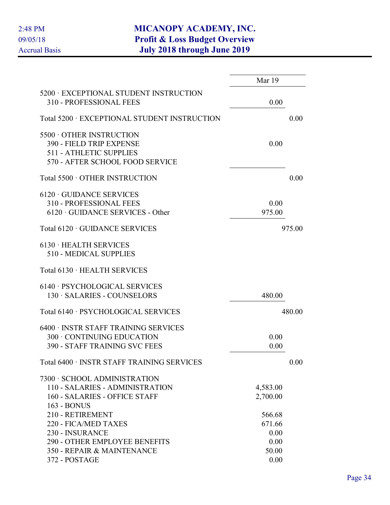|                                                                                                                                                  | Mar 19                                    |        |
|--------------------------------------------------------------------------------------------------------------------------------------------------|-------------------------------------------|--------|
| 5200 · EXCEPTIONAL STUDENT INSTRUCTION<br>310 - PROFESSIONAL FEES                                                                                | 0.00                                      |        |
| Total 5200 · EXCEPTIONAL STUDENT INSTRUCTION                                                                                                     |                                           | 0.00   |
| 5500 OTHER INSTRUCTION<br>390 - FIELD TRIP EXPENSE<br><b>511 - ATHLETIC SUPPLIES</b><br>570 - AFTER SCHOOL FOOD SERVICE                          | 0.00                                      |        |
| Total 5500 · OTHER INSTRUCTION                                                                                                                   |                                           | 0.00   |
| $6120 \cdot$ GUIDANCE SERVICES<br>310 - PROFESSIONAL FEES<br>$6120 \cdot \text{GUIDANCE SERIES}$ - Other                                         | 0.00<br>975.00                            |        |
| Total 6120 · GUIDANCE SERVICES                                                                                                                   |                                           | 975.00 |
| $6130 \cdot \text{HEALTH}$ SERVICES<br>510 - MEDICAL SUPPLIES                                                                                    |                                           |        |
| Total 6130 · HEALTH SERVICES                                                                                                                     |                                           |        |
| 6140 · PSYCHOLOGICAL SERVICES<br>130 · SALARIES - COUNSELORS                                                                                     | 480.00                                    |        |
| Total 6140 · PSYCHOLOGICAL SERVICES                                                                                                              |                                           | 480.00 |
| 6400 · INSTR STAFF TRAINING SERVICES<br>300 · CONTINUING EDUCATION<br><b>390 - STAFF TRAINING SVC FEES</b>                                       | 0.00<br>0.00                              |        |
| Total 6400 · INSTR STAFF TRAINING SERVICES                                                                                                       |                                           | 0.00   |
| 7300 · SCHOOL ADMINISTRATION<br>110 - SALARIES - ADMINISTRATION<br>160 - SALARIES - OFFICE STAFF                                                 | 4,583.00<br>2,700.00                      |        |
| 163 - BONUS<br>210 - RETIREMENT<br>220 - FICA/MED TAXES<br>230 - INSURANCE<br><b>290 - OTHER EMPLOYEE BENEFITS</b><br>350 - REPAIR & MAINTENANCE | 566.68<br>671.66<br>0.00<br>0.00<br>50.00 |        |
| 372 - POSTAGE                                                                                                                                    | 0.00                                      |        |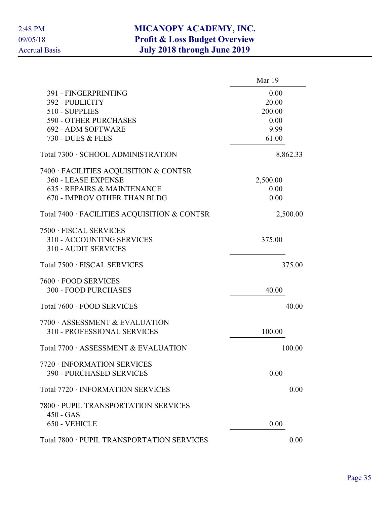|                                                                                    | Mar 19   |
|------------------------------------------------------------------------------------|----------|
| 391 - FINGERPRINTING                                                               | 0.00     |
| 392 - PUBLICITY                                                                    | 20.00    |
| 510 - SUPPLIES                                                                     | 200.00   |
| <b>590 - OTHER PURCHASES</b>                                                       | 0.00     |
| 692 - ADM SOFTWARE                                                                 | 9.99     |
| 730 - DUES & FEES                                                                  | 61.00    |
| Total 7300 · SCHOOL ADMINISTRATION                                                 | 8,862.33 |
| 7400 · FACILITIES ACQUISITION & CONTSR                                             |          |
| 360 - LEASE EXPENSE                                                                | 2,500.00 |
| 635 · REPAIRS & MAINTENANCE                                                        | 0.00     |
| 670 - IMPROV OTHER THAN BLDG                                                       | 0.00     |
| Total 7400 · FACILITIES ACQUISITION & CONTSR                                       | 2,500.00 |
| 7500 · FISCAL SERVICES<br>310 - ACCOUNTING SERVICES<br><b>310 - AUDIT SERVICES</b> | 375.00   |
| Total 7500 · FISCAL SERVICES                                                       | 375.00   |
| 7600 · FOOD SERVICES                                                               |          |
| <b>300 - FOOD PURCHASES</b>                                                        | 40.00    |
| Total 7600 · FOOD SERVICES                                                         | 40.00    |
| 7700 ASSESSMENT & EVALUATION                                                       |          |
| 310 - PROFESSIONAL SERVICES                                                        | 100.00   |
| Total 7700 · ASSESSMENT & EVALUATION                                               | 100.00   |
| 7720 · INFORMATION SERVICES                                                        |          |
| <b>390 - PURCHASED SERVICES</b>                                                    | 0.00     |
| Total 7720 · INFORMATION SERVICES                                                  | 0.00     |
| 7800 · PUPIL TRANSPORTATION SERVICES<br>$450 - GAS$                                |          |
| 650 - VEHICLE                                                                      | 0.00     |
| Total 7800 · PUPIL TRANSPORTATION SERVICES                                         | 0.00     |
|                                                                                    |          |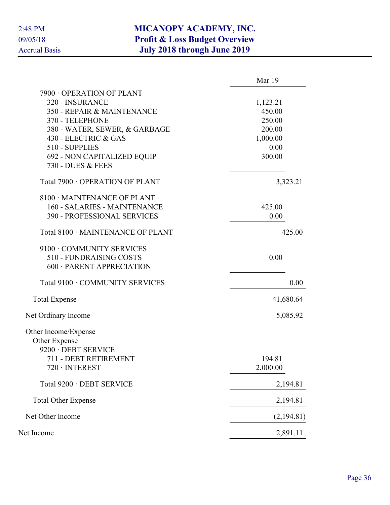|                                   | Mar 19     |
|-----------------------------------|------------|
| 7900 OPERATION OF PLANT           |            |
| 320 - INSURANCE                   | 1,123.21   |
| 350 - REPAIR & MAINTENANCE        | 450.00     |
| 370 - TELEPHONE                   | 250.00     |
| 380 - WATER, SEWER, & GARBAGE     | 200.00     |
| 430 - ELECTRIC & GAS              | 1,000.00   |
| 510 - SUPPLIES                    | 0.00       |
| 692 - NON CAPITALIZED EQUIP       | 300.00     |
| 730 - DUES & FEES                 |            |
| Total 7900 · OPERATION OF PLANT   | 3,323.21   |
| 8100 · MAINTENANCE OF PLANT       |            |
| 160 - SALARIES - MAINTENANCE      | 425.00     |
| 390 - PROFESSIONAL SERVICES       | 0.00       |
| Total 8100 · MAINTENANCE OF PLANT | 425.00     |
| 9100 · COMMUNITY SERVICES         |            |
| 510 - FUNDRAISING COSTS           | 0.00       |
| 600 · PARENT APPRECIATION         |            |
| Total 9100 · COMMUNITY SERVICES   | 0.00       |
| <b>Total Expense</b>              | 41,680.64  |
| Net Ordinary Income               | 5,085.92   |
| Other Income/Expense              |            |
| Other Expense                     |            |
| 9200 · DEBT SERVICE               |            |
| 711 - DEBT RETIREMENT             | 194.81     |
| $720 \cdot INTEREST$              | 2,000.00   |
| Total 9200 · DEBT SERVICE         | 2,194.81   |
| <b>Total Other Expense</b>        | 2,194.81   |
| Net Other Income                  | (2,194.81) |
| Net Income                        | 2,891.11   |
|                                   |            |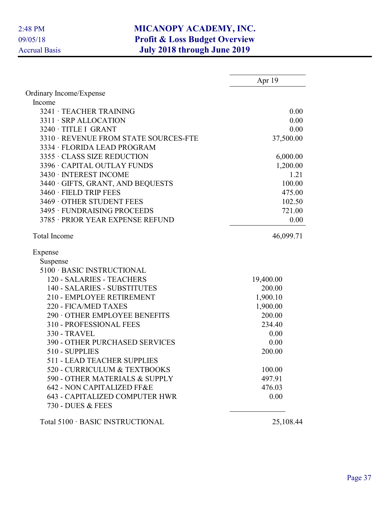|                                       | Apr 19    |
|---------------------------------------|-----------|
| Ordinary Income/Expense               |           |
| Income                                |           |
| 3241 · TEACHER TRAINING               | 0.00      |
| 3311 · SRP ALLOCATION                 | 0.00      |
| 3240 · TITLE I GRANT                  | 0.00      |
| 3310 · REVENUE FROM STATE SOURCES-FTE | 37,500.00 |
| 3334 · FLORIDA LEAD PROGRAM           |           |
| 3355 · CLASS SIZE REDUCTION           | 6,000.00  |
| 3396 · CAPITAL OUTLAY FUNDS           | 1,200.00  |
| 3430 · INTEREST INCOME                | 1.21      |
| 3440 · GIFTS, GRANT, AND BEQUESTS     | 100.00    |
| 3460 · FIELD TRIP FEES                | 475.00    |
| 3469 OTHER STUDENT FEES               | 102.50    |
| 3495 · FUNDRAISING PROCEEDS           | 721.00    |
| 3785 · PRIOR YEAR EXPENSE REFUND      | 0.00      |
| <b>Total Income</b>                   | 46,099.71 |
| Expense                               |           |
| Suspense                              |           |
| 5100 · BASIC INSTRUCTIONAL            |           |
| 120 - SALARIES - TEACHERS             | 19,400.00 |
| 140 - SALARIES - SUBSTITUTES          | 200.00    |
| 210 - EMPLOYEE RETIREMENT             | 1,900.10  |
| 220 - FICA/MED TAXES                  | 1,900.00  |
| 290 OTHER EMPLOYEE BENEFITS           | 200.00    |
| 310 - PROFESSIONAL FEES               | 234.40    |
| <b>330 - TRAVEL</b>                   | 0.00      |
| <b>390 - OTHER PURCHASED SERVICES</b> | 0.00      |
| 510 - SUPPLIES                        | 200.00    |
| <b>511 - LEAD TEACHER SUPPLIES</b>    |           |
| 520 - CURRICULUM & TEXTBOOKS          | 100.00    |
| 590 - OTHER MATERIALS & SUPPLY        | 497.91    |
| 642 - NON CAPITALIZED FF&E            | 476.03    |
| <b>643 - CAPITALIZED COMPUTER HWR</b> | 0.00      |
| 730 - DUES & FEES                     |           |
| Total 5100 · BASIC INSTRUCTIONAL      | 25,108.44 |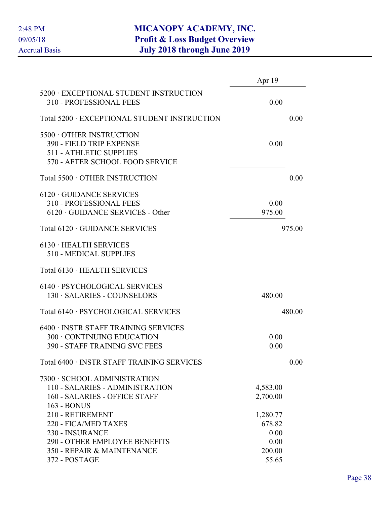|                                                                                                                                                  | Apr 19                                       |        |
|--------------------------------------------------------------------------------------------------------------------------------------------------|----------------------------------------------|--------|
| 5200 · EXCEPTIONAL STUDENT INSTRUCTION<br>310 - PROFESSIONAL FEES                                                                                | 0.00                                         |        |
| Total 5200 · EXCEPTIONAL STUDENT INSTRUCTION                                                                                                     |                                              | 0.00   |
| 5500 OTHER INSTRUCTION<br>390 - FIELD TRIP EXPENSE<br><b>511 - ATHLETIC SUPPLIES</b><br>570 - AFTER SCHOOL FOOD SERVICE                          | 0.00                                         |        |
| Total 5500 · OTHER INSTRUCTION                                                                                                                   |                                              | 0.00   |
| $6120 \cdot$ GUIDANCE SERVICES<br>310 - PROFESSIONAL FEES<br>$6120 \cdot \text{GUIDANCE SERIES}$ - Other                                         | 0.00<br>975.00                               |        |
| Total 6120 · GUIDANCE SERVICES                                                                                                                   |                                              | 975.00 |
| $6130 \cdot \text{HEALTH}$ SERVICES<br>510 - MEDICAL SUPPLIES                                                                                    |                                              |        |
| Total 6130 · HEALTH SERVICES                                                                                                                     |                                              |        |
| 6140 · PSYCHOLOGICAL SERVICES<br>130 · SALARIES - COUNSELORS                                                                                     | 480.00                                       |        |
| Total 6140 · PSYCHOLOGICAL SERVICES                                                                                                              |                                              | 480.00 |
| 6400 · INSTR STAFF TRAINING SERVICES<br>300 · CONTINUING EDUCATION<br><b>390 - STAFF TRAINING SVC FEES</b>                                       | 0.00<br>0.00                                 |        |
| Total 6400 · INSTR STAFF TRAINING SERVICES                                                                                                       |                                              | 0.00   |
| 7300 · SCHOOL ADMINISTRATION<br>110 - SALARIES - ADMINISTRATION<br>160 - SALARIES - OFFICE STAFF                                                 | 4,583.00<br>2,700.00                         |        |
| 163 - BONUS<br>210 - RETIREMENT<br>220 - FICA/MED TAXES<br>230 - INSURANCE<br><b>290 - OTHER EMPLOYEE BENEFITS</b><br>350 - REPAIR & MAINTENANCE | 1,280.77<br>678.82<br>0.00<br>0.00<br>200.00 |        |
| 372 - POSTAGE                                                                                                                                    | 55.65                                        |        |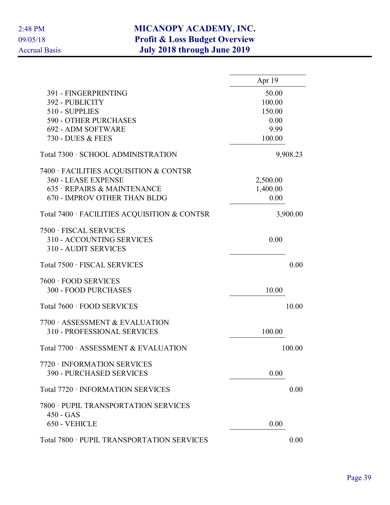|                                                                                    | Apr 19   |          |
|------------------------------------------------------------------------------------|----------|----------|
| 391 - FINGERPRINTING                                                               | 50.00    |          |
| 392 - PUBLICITY                                                                    | 100.00   |          |
| 510 - SUPPLIES                                                                     | 150.00   |          |
| <b>590 - OTHER PURCHASES</b>                                                       | 0.00     |          |
| 692 - ADM SOFTWARE                                                                 | 9.99     |          |
| 730 - DUES & FEES                                                                  | 100.00   |          |
| Total 7300 · SCHOOL ADMINISTRATION                                                 |          | 9,908.23 |
| 7400 · FACILITIES ACQUISITION & CONTSR                                             |          |          |
| 360 - LEASE EXPENSE                                                                | 2,500.00 |          |
| 635 · REPAIRS & MAINTENANCE                                                        | 1,400.00 |          |
| 670 - IMPROV OTHER THAN BLDG                                                       | 0.00     |          |
| Total 7400 · FACILITIES ACQUISITION & CONTSR                                       |          | 3,900.00 |
| 7500 · FISCAL SERVICES<br>310 - ACCOUNTING SERVICES<br><b>310 - AUDIT SERVICES</b> | 0.00     |          |
| Total 7500 · FISCAL SERVICES                                                       |          | 0.00     |
| 7600 · FOOD SERVICES<br><b>300 - FOOD PURCHASES</b>                                | 10.00    |          |
| Total 7600 · FOOD SERVICES                                                         |          | 10.00    |
| 7700 ASSESSMENT & EVALUATION                                                       |          |          |
| <b>310 - PROFESSIONAL SERVICES</b>                                                 | 100.00   |          |
| Total 7700 · ASSESSMENT & EVALUATION                                               |          | 100.00   |
| 7720 · INFORMATION SERVICES<br>390 - PURCHASED SERVICES                            | 0.00     |          |
| Total 7720 · INFORMATION SERVICES                                                  |          | 0.00     |
| 7800 · PUPIL TRANSPORTATION SERVICES<br>$450 - GAS$                                |          |          |
| 650 - VEHICLE                                                                      | 0.00     |          |
| Total 7800 · PUPIL TRANSPORTATION SERVICES                                         |          | 0.00     |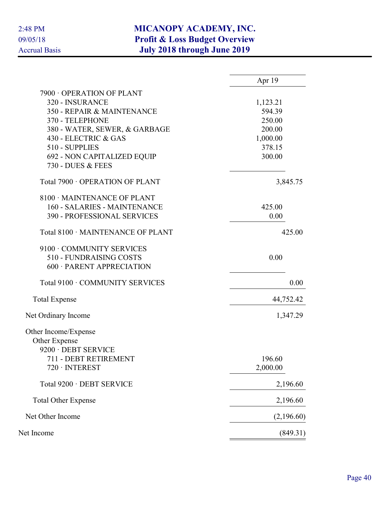|                                   | Apr 19     |
|-----------------------------------|------------|
| 7900 OPERATION OF PLANT           |            |
| 320 - INSURANCE                   | 1,123.21   |
| 350 - REPAIR & MAINTENANCE        | 594.39     |
| 370 - TELEPHONE                   | 250.00     |
| 380 - WATER, SEWER, & GARBAGE     | 200.00     |
| 430 - ELECTRIC & GAS              | 1,000.00   |
| 510 - SUPPLIES                    | 378.15     |
| 692 - NON CAPITALIZED EQUIP       | 300.00     |
| 730 - DUES & FEES                 |            |
| Total 7900 · OPERATION OF PLANT   | 3,845.75   |
| 8100 MAINTENANCE OF PLANT         |            |
| 160 - SALARIES - MAINTENANCE      | 425.00     |
| 390 - PROFESSIONAL SERVICES       | 0.00       |
| Total 8100 · MAINTENANCE OF PLANT | 425.00     |
| 9100 · COMMUNITY SERVICES         |            |
| 510 - FUNDRAISING COSTS           | 0.00       |
| 600 · PARENT APPRECIATION         |            |
| Total 9100 · COMMUNITY SERVICES   | 0.00       |
| <b>Total Expense</b>              | 44,752.42  |
| Net Ordinary Income               | 1,347.29   |
| Other Income/Expense              |            |
| Other Expense                     |            |
| 9200 · DEBT SERVICE               |            |
| 711 - DEBT RETIREMENT             | 196.60     |
| $720 \cdot INTEREST$              | 2,000.00   |
| Total 9200 · DEBT SERVICE         | 2,196.60   |
| <b>Total Other Expense</b>        | 2,196.60   |
| Net Other Income                  | (2,196.60) |
| Net Income                        | (849.31)   |
|                                   |            |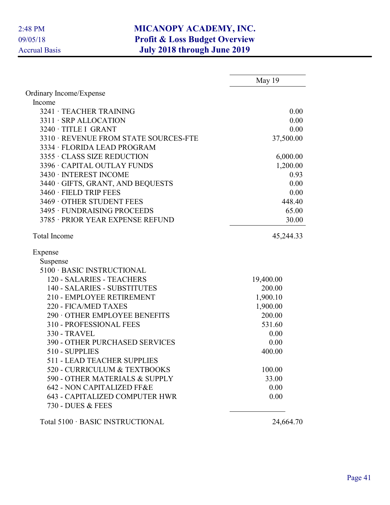|                                       | May 19    |
|---------------------------------------|-----------|
| Ordinary Income/Expense               |           |
| Income                                |           |
| 3241 · TEACHER TRAINING               | 0.00      |
| 3311 · SRP ALLOCATION                 | 0.00      |
| 3240 · TITLE I GRANT                  | 0.00      |
| 3310 · REVENUE FROM STATE SOURCES-FTE | 37,500.00 |
| 3334 · FLORIDA LEAD PROGRAM           |           |
| 3355 · CLASS SIZE REDUCTION           | 6,000.00  |
| 3396 · CAPITAL OUTLAY FUNDS           | 1,200.00  |
| 3430 · INTEREST INCOME                | 0.93      |
| 3440 · GIFTS, GRANT, AND BEQUESTS     | 0.00      |
| 3460 · FIELD TRIP FEES                | 0.00      |
| 3469 OTHER STUDENT FEES               | 448.40    |
| 3495 · FUNDRAISING PROCEEDS           | 65.00     |
| 3785 · PRIOR YEAR EXPENSE REFUND      | 30.00     |
| <b>Total Income</b>                   | 45,244.33 |
| Expense                               |           |
| Suspense                              |           |
| 5100 · BASIC INSTRUCTIONAL            |           |
| 120 - SALARIES - TEACHERS             | 19,400.00 |
| 140 - SALARIES - SUBSTITUTES          | 200.00    |
| 210 - EMPLOYEE RETIREMENT             | 1,900.10  |
| 220 - FICA/MED TAXES                  | 1,900.00  |
| 290 OTHER EMPLOYEE BENEFITS           | 200.00    |
| 310 - PROFESSIONAL FEES               | 531.60    |
| <b>330 - TRAVEL</b>                   | 0.00      |
| <b>390 - OTHER PURCHASED SERVICES</b> | 0.00      |
| 510 - SUPPLIES                        | 400.00    |
| <b>511 - LEAD TEACHER SUPPLIES</b>    |           |
| 520 - CURRICULUM & TEXTBOOKS          | 100.00    |
| 590 - OTHER MATERIALS & SUPPLY        | 33.00     |
| 642 - NON CAPITALIZED FF&E            | 0.00      |
| <b>643 - CAPITALIZED COMPUTER HWR</b> | 0.00      |
| 730 - DUES & FEES                     |           |
| Total 5100 · BASIC INSTRUCTIONAL      | 24,664.70 |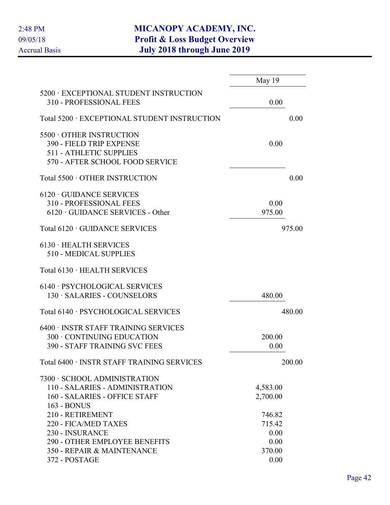|                                                                                                                         | May 19                           |        |
|-------------------------------------------------------------------------------------------------------------------------|----------------------------------|--------|
| 5200 · EXCEPTIONAL STUDENT INSTRUCTION<br>310 - PROFESSIONAL FEES                                                       | 0.00                             |        |
| Total 5200 · EXCEPTIONAL STUDENT INSTRUCTION                                                                            |                                  | 0.00   |
| 5500 OTHER INSTRUCTION<br>390 - FIELD TRIP EXPENSE<br><b>511 - ATHLETIC SUPPLIES</b><br>570 - AFTER SCHOOL FOOD SERVICE | 0.00                             |        |
| Total 5500 · OTHER INSTRUCTION                                                                                          |                                  | 0.00   |
| $6120 \cdot$ GUIDANCE SERVICES<br>310 - PROFESSIONAL FEES<br>$6120 \cdot \text{GUIDANCE SERIES}$ - Other                | 0.00<br>975.00                   |        |
| Total 6120 · GUIDANCE SERVICES                                                                                          |                                  | 975.00 |
| $6130 \cdot \text{HEatTH}$ SERVICES<br>510 - MEDICAL SUPPLIES                                                           |                                  |        |
| Total 6130 · HEALTH SERVICES                                                                                            |                                  |        |
| 6140 · PSYCHOLOGICAL SERVICES<br>130 · SALARIES - COUNSELORS                                                            | 480.00                           |        |
| Total 6140 · PSYCHOLOGICAL SERVICES                                                                                     |                                  | 480.00 |
| 6400 · INSTR STAFF TRAINING SERVICES<br>300 CONTINUING EDUCATION<br><b>390 - STAFF TRAINING SVC FEES</b>                | 200.00<br>0.00                   |        |
| Total 6400 · INSTR STAFF TRAINING SERVICES                                                                              |                                  | 200.00 |
| 7300 · SCHOOL ADMINISTRATION<br>110 - SALARIES - ADMINISTRATION<br><b>160 - SALARIES - OFFICE STAFF</b><br>163 - BONUS  | 4,583.00<br>2,700.00             |        |
| 210 - RETIREMENT<br>220 - FICA/MED TAXES<br>230 - INSURANCE<br><b>290 - OTHER EMPLOYEE BENEFITS</b>                     | 746.82<br>715.42<br>0.00<br>0.00 |        |
| 350 - REPAIR & MAINTENANCE<br>372 - POSTAGE                                                                             | 370.00<br>0.00                   |        |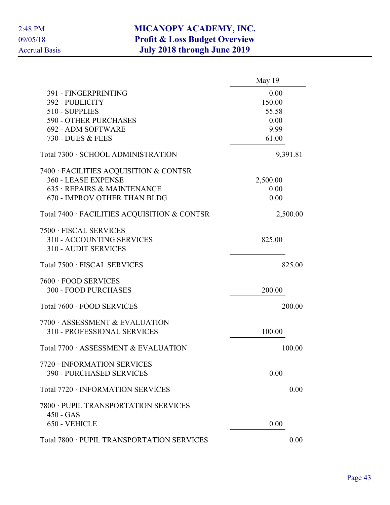|                                                                                    | May 19   |
|------------------------------------------------------------------------------------|----------|
| 391 - FINGERPRINTING                                                               | 0.00     |
| 392 - PUBLICITY                                                                    | 150.00   |
| 510 - SUPPLIES                                                                     | 55.58    |
| <b>590 - OTHER PURCHASES</b>                                                       | 0.00     |
| 692 - ADM SOFTWARE                                                                 | 9.99     |
| 730 - DUES & FEES                                                                  | 61.00    |
| Total 7300 · SCHOOL ADMINISTRATION                                                 | 9,391.81 |
| 7400 · FACILITIES ACQUISITION & CONTSR                                             |          |
| 360 - LEASE EXPENSE                                                                | 2,500.00 |
| 635 · REPAIRS & MAINTENANCE                                                        | 0.00     |
| 670 - IMPROV OTHER THAN BLDG                                                       | 0.00     |
| Total 7400 · FACILITIES ACQUISITION & CONTSR                                       | 2,500.00 |
| 7500 · FISCAL SERVICES<br>310 - ACCOUNTING SERVICES<br><b>310 - AUDIT SERVICES</b> | 825.00   |
| Total 7500 · FISCAL SERVICES                                                       | 825.00   |
| 7600 · FOOD SERVICES                                                               |          |
| <b>300 - FOOD PURCHASES</b>                                                        | 200.00   |
| Total 7600 · FOOD SERVICES                                                         | 200.00   |
| 7700 ASSESSMENT & EVALUATION                                                       |          |
| 310 - PROFESSIONAL SERVICES                                                        | 100.00   |
| Total 7700 · ASSESSMENT & EVALUATION                                               | 100.00   |
| 7720 · INFORMATION SERVICES                                                        |          |
| <b>390 - PURCHASED SERVICES</b>                                                    | 0.00     |
| Total 7720 · INFORMATION SERVICES                                                  | 0.00     |
| 7800 · PUPIL TRANSPORTATION SERVICES<br>$450 - GAS$                                |          |
| 650 - VEHICLE                                                                      | 0.00     |
| Total 7800 · PUPIL TRANSPORTATION SERVICES                                         | 0.00     |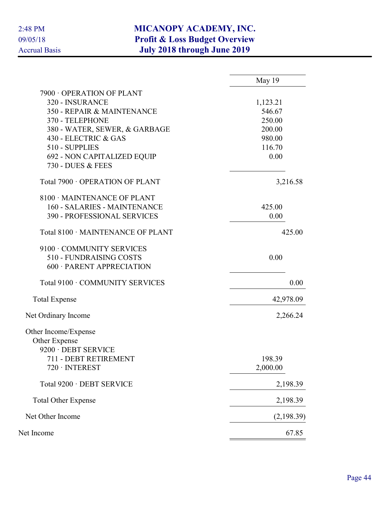|                                   | May 19     |
|-----------------------------------|------------|
| 7900 OPERATION OF PLANT           |            |
| 320 - INSURANCE                   | 1,123.21   |
| 350 - REPAIR & MAINTENANCE        | 546.67     |
| 370 - TELEPHONE                   | 250.00     |
| 380 - WATER, SEWER, & GARBAGE     | 200.00     |
| 430 - ELECTRIC & GAS              | 980.00     |
| 510 - SUPPLIES                    | 116.70     |
| 692 - NON CAPITALIZED EQUIP       | 0.00       |
| 730 - DUES & FEES                 |            |
| Total 7900 · OPERATION OF PLANT   | 3,216.58   |
| 8100 · MAINTENANCE OF PLANT       |            |
| 160 - SALARIES - MAINTENANCE      | 425.00     |
| 390 - PROFESSIONAL SERVICES       | 0.00       |
| Total 8100 · MAINTENANCE OF PLANT | 425.00     |
| 9100 · COMMUNITY SERVICES         |            |
| 510 - FUNDRAISING COSTS           | 0.00       |
| 600 · PARENT APPRECIATION         |            |
| Total 9100 · COMMUNITY SERVICES   | 0.00       |
| <b>Total Expense</b>              | 42,978.09  |
| Net Ordinary Income               | 2,266.24   |
| Other Income/Expense              |            |
| Other Expense                     |            |
| 9200 · DEBT SERVICE               |            |
| 711 - DEBT RETIREMENT             | 198.39     |
| $720 \cdot INTEREST$              | 2,000.00   |
| Total 9200 · DEBT SERVICE         | 2,198.39   |
| <b>Total Other Expense</b>        | 2,198.39   |
| Net Other Income                  | (2,198.39) |
| Net Income                        | 67.85      |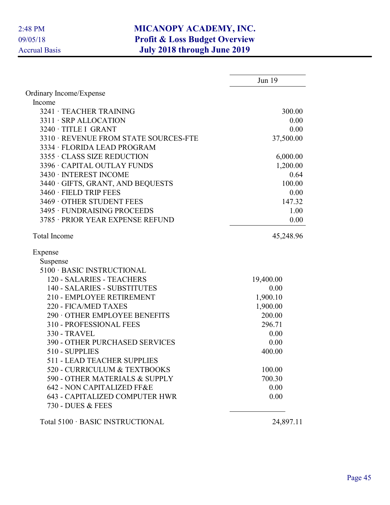|                                                            | Jun 19    |
|------------------------------------------------------------|-----------|
| Ordinary Income/Expense                                    |           |
| Income                                                     |           |
| 3241 · TEACHER TRAINING                                    | 300.00    |
| 3311 · SRP ALLOCATION                                      | 0.00      |
| 3240 · TITLE I GRANT                                       | 0.00      |
| 3310 · REVENUE FROM STATE SOURCES-FTE                      | 37,500.00 |
| 3334 · FLORIDA LEAD PROGRAM                                |           |
| 3355 · CLASS SIZE REDUCTION                                | 6,000.00  |
| 3396 · CAPITAL OUTLAY FUNDS                                | 1,200.00  |
| 3430 · INTEREST INCOME                                     | 0.64      |
| 3440 · GIFTS, GRANT, AND BEQUESTS                          | 100.00    |
| 3460 · FIELD TRIP FEES                                     | 0.00      |
| 3469 OTHER STUDENT FEES                                    | 147.32    |
| 3495 · FUNDRAISING PROCEEDS                                | 1.00      |
| 3785 · PRIOR YEAR EXPENSE REFUND                           | 0.00      |
| <b>Total Income</b>                                        | 45,248.96 |
| Expense                                                    |           |
| Suspense                                                   |           |
| 5100 · BASIC INSTRUCTIONAL                                 |           |
| 120 - SALARIES - TEACHERS                                  | 19,400.00 |
| 140 - SALARIES - SUBSTITUTES                               | 0.00      |
| 210 - EMPLOYEE RETIREMENT                                  | 1,900.10  |
| 220 - FICA/MED TAXES                                       | 1,900.00  |
| 290 OTHER EMPLOYEE BENEFITS                                | 200.00    |
| 310 - PROFESSIONAL FEES                                    | 296.71    |
| <b>330 - TRAVEL</b>                                        | 0.00      |
| <b>390 - OTHER PURCHASED SERVICES</b>                      | 0.00      |
| 510 - SUPPLIES                                             | 400.00    |
| <b>511 - LEAD TEACHER SUPPLIES</b>                         |           |
| 520 - CURRICULUM & TEXTBOOKS                               | 100.00    |
| 590 - OTHER MATERIALS & SUPPLY                             | 700.30    |
| 642 - NON CAPITALIZED FF&E                                 | 0.00      |
| <b>643 - CAPITALIZED COMPUTER HWR</b><br>730 - DUES & FEES | 0.00      |
|                                                            |           |
| Total 5100 · BASIC INSTRUCTIONAL                           | 24,897.11 |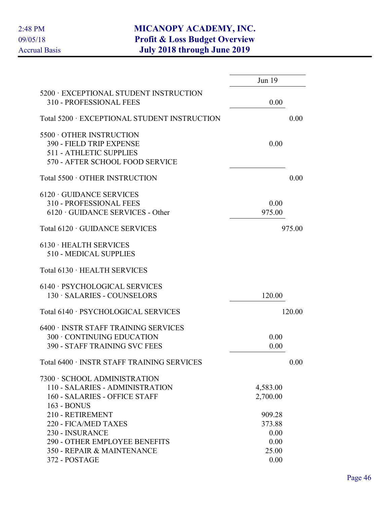|                                                                                                                                   | Jun 19                                    |        |
|-----------------------------------------------------------------------------------------------------------------------------------|-------------------------------------------|--------|
| 5200 · EXCEPTIONAL STUDENT INSTRUCTION<br>310 - PROFESSIONAL FEES                                                                 | 0.00                                      |        |
| Total 5200 · EXCEPTIONAL STUDENT INSTRUCTION                                                                                      |                                           | 0.00   |
| 5500 OTHER INSTRUCTION<br>390 - FIELD TRIP EXPENSE<br><b>511 - ATHLETIC SUPPLIES</b><br>570 - AFTER SCHOOL FOOD SERVICE           | 0.00                                      |        |
| Total 5500 · OTHER INSTRUCTION                                                                                                    |                                           | 0.00   |
| $6120 \cdot$ GUIDANCE SERVICES<br>310 - PROFESSIONAL FEES<br>$6120 \cdot \text{GUIDANCE SERIES}$ - Other                          | 0.00<br>975.00                            |        |
| Total 6120 · GUIDANCE SERVICES                                                                                                    |                                           | 975.00 |
| $6130 \cdot \text{HEALTH}$ SERVICES<br>510 - MEDICAL SUPPLIES                                                                     |                                           |        |
| Total 6130 · HEALTH SERVICES                                                                                                      |                                           |        |
| 6140 · PSYCHOLOGICAL SERVICES<br>130 · SALARIES - COUNSELORS                                                                      | 120.00                                    |        |
| Total 6140 · PSYCHOLOGICAL SERVICES                                                                                               |                                           | 120.00 |
| 6400 · INSTR STAFF TRAINING SERVICES<br>300 · CONTINUING EDUCATION<br><b>390 - STAFF TRAINING SVC FEES</b>                        | 0.00<br>0.00                              |        |
| Total 6400 · INSTR STAFF TRAINING SERVICES                                                                                        |                                           | 0.00   |
| 7300 · SCHOOL ADMINISTRATION<br>110 - SALARIES - ADMINISTRATION<br>160 - SALARIES - OFFICE STAFF<br>163 - BONUS                   | 4,583.00<br>2,700.00                      |        |
| 210 - RETIREMENT<br>220 - FICA/MED TAXES<br>230 - INSURANCE<br><b>290 - OTHER EMPLOYEE BENEFITS</b><br>350 - REPAIR & MAINTENANCE | 909.28<br>373.88<br>0.00<br>0.00<br>25.00 |        |
| 372 - POSTAGE                                                                                                                     | 0.00                                      |        |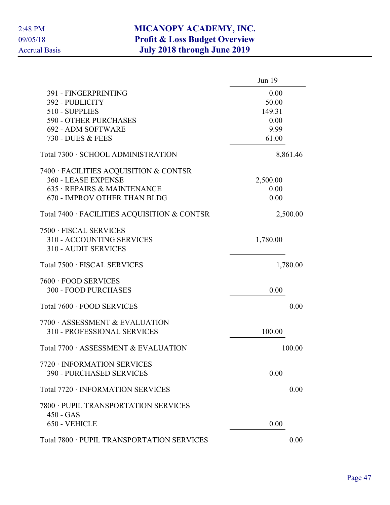|                                                                                    | Jun 19   |
|------------------------------------------------------------------------------------|----------|
| 391 - FINGERPRINTING                                                               | 0.00     |
| 392 - PUBLICITY                                                                    | 50.00    |
| 510 - SUPPLIES                                                                     | 149.31   |
| 590 - OTHER PURCHASES                                                              | 0.00     |
| 692 - ADM SOFTWARE                                                                 | 9.99     |
| 730 - DUES & FEES                                                                  | 61.00    |
| Total 7300 · SCHOOL ADMINISTRATION                                                 | 8,861.46 |
| 7400 · FACILITIES ACQUISITION & CONTSR                                             |          |
| 360 - LEASE EXPENSE                                                                | 2,500.00 |
| 635 · REPAIRS & MAINTENANCE                                                        | 0.00     |
| 670 - IMPROV OTHER THAN BLDG                                                       | 0.00     |
| Total 7400 · FACILITIES ACQUISITION & CONTSR                                       | 2,500.00 |
| 7500 · FISCAL SERVICES<br>310 - ACCOUNTING SERVICES<br><b>310 - AUDIT SERVICES</b> | 1,780.00 |
| Total 7500 · FISCAL SERVICES                                                       | 1,780.00 |
| 7600 · FOOD SERVICES                                                               |          |
| <b>300 - FOOD PURCHASES</b>                                                        | 0.00     |
| Total 7600 · FOOD SERVICES                                                         | 0.00     |
| 7700 ASSESSMENT & EVALUATION                                                       |          |
| <b>310 - PROFESSIONAL SERVICES</b>                                                 | 100.00   |
| Total 7700 · ASSESSMENT & EVALUATION                                               | 100.00   |
| 7720 · INFORMATION SERVICES                                                        |          |
| <b>390 - PURCHASED SERVICES</b>                                                    | 0.00     |
| Total 7720 · INFORMATION SERVICES                                                  | 0.00     |
| 7800 · PUPIL TRANSPORTATION SERVICES                                               |          |
| $450 - GAS$<br>650 - VEHICLE                                                       | 0.00     |
|                                                                                    |          |
| Total 7800 · PUPIL TRANSPORTATION SERVICES                                         | 0.00     |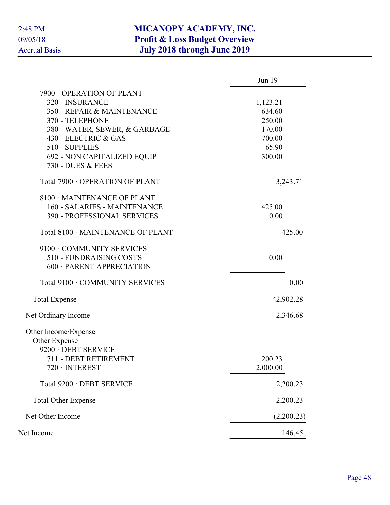|                                    | Jun 19     |
|------------------------------------|------------|
| 7900 OPERATION OF PLANT            |            |
| 320 - INSURANCE                    | 1,123.21   |
| 350 - REPAIR & MAINTENANCE         | 634.60     |
| 370 - TELEPHONE                    | 250.00     |
| 380 - WATER, SEWER, & GARBAGE      | 170.00     |
| 430 - ELECTRIC & GAS               | 700.00     |
| 510 - SUPPLIES                     | 65.90      |
| 692 - NON CAPITALIZED EQUIP        | 300.00     |
| 730 - DUES & FEES                  |            |
| Total 7900 · OPERATION OF PLANT    | 3,243.71   |
| 8100 · MAINTENANCE OF PLANT        |            |
| 160 - SALARIES - MAINTENANCE       | 425.00     |
| <b>390 - PROFESSIONAL SERVICES</b> | 0.00       |
| Total 8100 · MAINTENANCE OF PLANT  | 425.00     |
| 9100 · COMMUNITY SERVICES          |            |
| 510 - FUNDRAISING COSTS            | 0.00       |
| 600 · PARENT APPRECIATION          |            |
| Total 9100 · COMMUNITY SERVICES    | 0.00       |
| <b>Total Expense</b>               | 42,902.28  |
| Net Ordinary Income                | 2,346.68   |
| Other Income/Expense               |            |
| Other Expense                      |            |
| 9200 · DEBT SERVICE                |            |
| 711 - DEBT RETIREMENT              | 200.23     |
| $720 \cdot INTEREST$               | 2,000.00   |
| Total 9200 · DEBT SERVICE          | 2,200.23   |
| <b>Total Other Expense</b>         | 2,200.23   |
| Net Other Income                   | (2,200.23) |
| Net Income                         | 146.45     |
|                                    |            |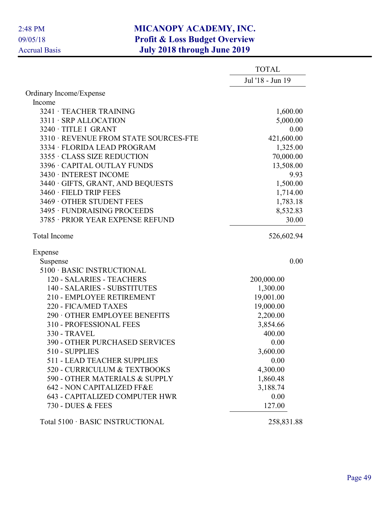|                                       | <b>TOTAL</b>     |
|---------------------------------------|------------------|
|                                       | Jul '18 - Jun 19 |
| Ordinary Income/Expense               |                  |
| Income                                |                  |
| 3241 · TEACHER TRAINING               | 1,600.00         |
| 3311 · SRP ALLOCATION                 | 5,000.00         |
| 3240 · TITLE I GRANT                  | 0.00             |
| 3310 · REVENUE FROM STATE SOURCES-FTE | 421,600.00       |
| 3334 · FLORIDA LEAD PROGRAM           | 1,325.00         |
| 3355 · CLASS SIZE REDUCTION           | 70,000.00        |
| 3396 · CAPITAL OUTLAY FUNDS           | 13,508.00        |
| 3430 · INTEREST INCOME                | 9.93             |
| 3440 · GIFTS, GRANT, AND BEQUESTS     | 1,500.00         |
| 3460 · FIELD TRIP FEES                | 1,714.00         |
| 3469 OTHER STUDENT FEES               | 1,783.18         |
| 3495 · FUNDRAISING PROCEEDS           | 8,532.83         |
| 3785 · PRIOR YEAR EXPENSE REFUND      | 30.00            |
| <b>Total Income</b>                   | 526,602.94       |
| Expense                               |                  |
| Suspense                              | 0.00             |
| 5100 · BASIC INSTRUCTIONAL            |                  |
| 120 - SALARIES - TEACHERS             | 200,000.00       |
| 140 - SALARIES - SUBSTITUTES          | 1,300.00         |
| 210 - EMPLOYEE RETIREMENT             | 19,001.00        |
| 220 - FICA/MED TAXES                  | 19,000.00        |
| 290 OTHER EMPLOYEE BENEFITS           | 2,200.00         |
| 310 - PROFESSIONAL FEES               | 3,854.66         |
| <b>330 - TRAVEL</b>                   | 400.00           |
| <b>390 - OTHER PURCHASED SERVICES</b> | 0.00             |
| 510 - SUPPLIES                        | 3,600.00         |
| <b>511 - LEAD TEACHER SUPPLIES</b>    | 0.00             |
| 520 - CURRICULUM & TEXTBOOKS          | 4,300.00         |
| 590 - OTHER MATERIALS & SUPPLY        | 1,860.48         |
| 642 - NON CAPITALIZED FF&E            | 3,188.74         |
| <b>643 - CAPITALIZED COMPUTER HWR</b> | 0.00             |
| 730 - DUES & FEES                     | 127.00           |
| Total 5100 · BASIC INSTRUCTIONAL      | 258,831.88       |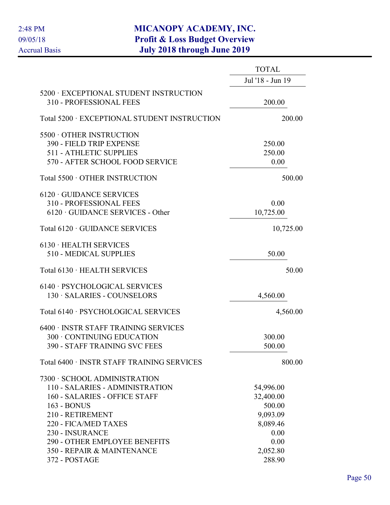|                                              | <b>TOTAL</b>     |
|----------------------------------------------|------------------|
|                                              | Jul '18 - Jun 19 |
| 5200 · EXCEPTIONAL STUDENT INSTRUCTION       |                  |
| 310 - PROFESSIONAL FEES                      | 200.00           |
| Total 5200 · EXCEPTIONAL STUDENT INSTRUCTION | 200.00           |
| 5500 OTHER INSTRUCTION                       |                  |
| 390 - FIELD TRIP EXPENSE                     | 250.00           |
| <b>511 - ATHLETIC SUPPLIES</b>               | 250.00           |
| 570 - AFTER SCHOOL FOOD SERVICE              | 0.00             |
| Total 5500 · OTHER INSTRUCTION               | 500.00           |
| $6120 \cdot$ GUIDANCE SERVICES               |                  |
| 310 - PROFESSIONAL FEES                      | 0.00             |
| $6120 \cdot \text{GUIDANCE SERIES}$ - Other  | 10,725.00        |
|                                              |                  |
| Total 6120 · GUIDANCE SERVICES               | 10,725.00        |
| $6130 \cdot \text{HEALTH}$ SERVICES          |                  |
| 510 - MEDICAL SUPPLIES                       | 50.00            |
| Total 6130 · HEALTH SERVICES                 | 50.00            |
| 6140 · PSYCHOLOGICAL SERVICES                |                  |
| 130 · SALARIES - COUNSELORS                  | 4,560.00         |
| Total 6140 · PSYCHOLOGICAL SERVICES          | 4,560.00         |
|                                              |                  |
| 6400 · INSTR STAFF TRAINING SERVICES         |                  |
| 300 · CONTINUING EDUCATION                   | 300.00           |
| <b>390 - STAFF TRAINING SVC FEES</b>         | 500.00           |
| Total 6400 · INSTR STAFF TRAINING SERVICES   | 800.00           |
| 7300 · SCHOOL ADMINISTRATION                 |                  |
| 110 - SALARIES - ADMINISTRATION              | 54,996.00        |
| 160 - SALARIES - OFFICE STAFF                | 32,400.00        |
| 163 - BONUS                                  | 500.00           |
| 210 - RETIREMENT                             | 9,093.09         |
| 220 - FICA/MED TAXES                         | 8,089.46         |
| 230 - INSURANCE                              | 0.00             |
| <b>290 - OTHER EMPLOYEE BENEFITS</b>         | 0.00             |
| 350 - REPAIR & MAINTENANCE                   | 2,052.80         |
| 372 - POSTAGE                                | 288.90           |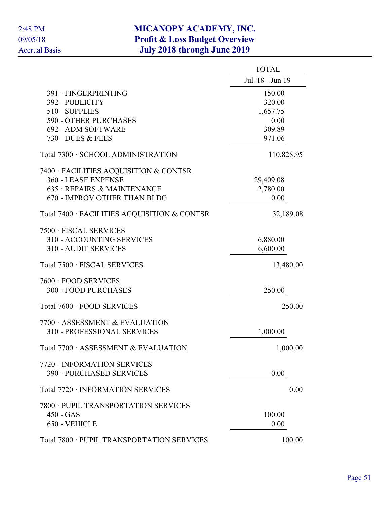|                                              | <b>TOTAL</b>     |
|----------------------------------------------|------------------|
|                                              | Jul '18 - Jun 19 |
| 391 - FINGERPRINTING                         | 150.00           |
| 392 - PUBLICITY                              | 320.00           |
| 510 - SUPPLIES                               | 1,657.75         |
| <b>590 - OTHER PURCHASES</b>                 | 0.00             |
| 692 - ADM SOFTWARE                           | 309.89           |
| 730 - DUES & FEES                            | 971.06           |
| Total 7300 · SCHOOL ADMINISTRATION           | 110,828.95       |
| 7400 · FACILITIES ACQUISITION & CONTSR       |                  |
| 360 - LEASE EXPENSE                          | 29,409.08        |
| 635 · REPAIRS & MAINTENANCE                  | 2,780.00         |
| <b>670 - IMPROV OTHER THAN BLDG</b>          | 0.00             |
| Total 7400 · FACILITIES ACQUISITION & CONTSR | 32,189.08        |
| 7500 · FISCAL SERVICES                       |                  |
| 310 - ACCOUNTING SERVICES                    | 6,880.00         |
| <b>310 - AUDIT SERVICES</b>                  | 6,600.00         |
| Total 7500 · FISCAL SERVICES                 | 13,480.00        |
| 7600 · FOOD SERVICES                         |                  |
| 300 - FOOD PURCHASES                         | 250.00           |
| Total 7600 · FOOD SERVICES                   | 250.00           |
| 7700 · ASSESSMENT & EVALUATION               |                  |
| 310 - PROFESSIONAL SERVICES                  | 1,000.00         |
| Total 7700 · ASSESSMENT & EVALUATION         | 1,000.00         |
| 7720 · INFORMATION SERVICES                  |                  |
| <b>390 - PURCHASED SERVICES</b>              | 0.00             |
| Total 7720 · INFORMATION SERVICES            | 0.00             |
| 7800 · PUPIL TRANSPORTATION SERVICES         |                  |
| $450 - GAS$                                  | 100.00           |
| 650 - VEHICLE                                | 0.00             |
| Total 7800 · PUPIL TRANSPORTATION SERVICES   | 100.00           |